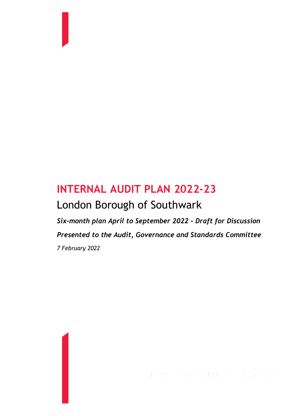# **INTERNAL AUDIT PLAN 2022-23** London Borough of Southwark

*Six-month plan April to September 2022 - Draft for Discussion Presented to the Audit, Governance and Standards Committee 7 February 2022*



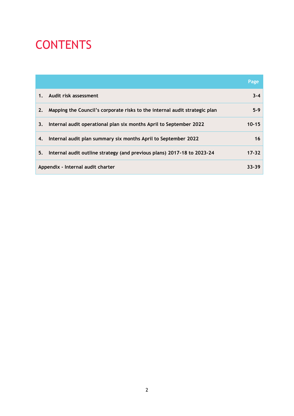# CONTENTS

|    |                                                                            | Page      |
|----|----------------------------------------------------------------------------|-----------|
| 1. | Audit risk assessment                                                      | $3 - 4$   |
| 2. | Mapping the Council's corporate risks to the internal audit strategic plan | $5-9$     |
| 3. | Internal audit operational plan six months April to September 2022         | $10 - 15$ |
| 4. | Internal audit plan summary six months April to September 2022             | 16        |
| 5. | Internal audit outline strategy (and previous plans) 2017-18 to 2023-24    | $17 - 32$ |
|    | Appendix - Internal audit charter                                          | $33 - 39$ |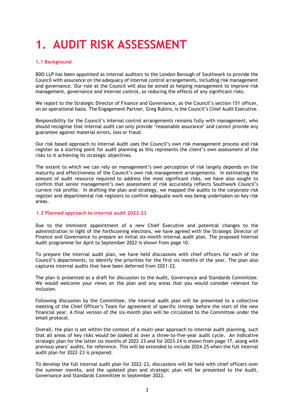# **1. AUDIT RISK ASSESSMENT**

#### **1.1 Background**

BDO LLP has been appointed as internal auditors to the London Borough of Southwark to provide the Council with assurance on the adequacy of internal control arrangements, including risk management and governance. Our role at the Council will also be aimed at helping management to improve risk management, governance and internal control, so reducing the effects of any significant risks.

We report to the Strategic Director of Finance and Governance, as the Council's section 151 officer, on an operational basis. The Engagement Partner, Greg Rubins, is the Council's Chief Audit Executive.

Responsibility for the Council's internal control arrangements remains fully with management, who should recognise that internal audit can only provide 'reasonable assurance' and cannot provide any guarantee against material errors, loss or fraud.

Our risk based approach to Internal Audit uses the Council's own risk management process and risk register as a starting point for audit planning as this represents the client's own assessment of the risks to it achieving its strategic objectives.

The extent to which we can rely on management's own perception of risk largely depends on the maturity and effectiveness of the Council's own risk management arrangements. In estimating the amount of audit resource required to address the most significant risks, we have also sought to confirm that senior management's own assessment of risk accurately reflects Southwark Council's current risk profile. In drafting the plan and strategy, we mapped the audits to the corporate risk register and departmental risk registers to confirm adequate work was being undertaken on key risk areas.

#### **1.2 Planned approach to internal audit 2022-23**

Due to the imminent appointment of a new Chief Executive and potential changes to the administration in light of the forthcoming elections, we have agreed with the Strategic Director of Finance and Governance to prepare an initial six-month internal audit plan. The proposed Internal Audit programme for April to September 2022 is shown from page 10.

To prepare the internal audit plan, we have held discussions with chief officers for each of the Council's departments, to identify the priorities for the first six months of the year. The plan also captures internal audits that have been deferred from 2021-22.

The plan is presented as a draft for discussion to the Audit, Governance and Standards Committee. We would welcome your views on the plan and any areas that you would consider relevant for inclusion.

Following discussion by the Committee, the internal audit plan will be presented to a collective meeting of the Chief Officer's Team for agreement of specific timings before the start of the new financial year. A final version of the six-month plan will be circulated to the Committee under the email protocol.

Overall, the plan is set within the context of a multi-year approach to internal audit planning, such that all areas of key risks would be looked at over a three-to-five-year audit cycle. An indicative strategic plan for the latter six months of 2022-23 and for 2023-24 is shown from page 17, along with previous years' audits, for reference. This will be extended to include 2024-25 when the full internal audit plan for 2022-23 is prepared.

To develop the full internal audit plan for 2022-23, discussions will be held with chief officers over the summer months, and the updated plan and strategic plan will be presented to the Audit, Governance and Standards Committee in September 2022.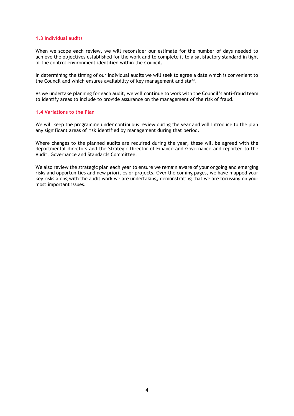#### **1.3 Individual audits**

When we scope each review, we will reconsider our estimate for the number of days needed to achieve the objectives established for the work and to complete it to a satisfactory standard in light of the control environment identified within the Council.

In determining the timing of our individual audits we will seek to agree a date which is convenient to the Council and which ensures availability of key management and staff.

As we undertake planning for each audit, we will continue to work with the Council's anti-fraud team to identify areas to include to provide assurance on the management of the risk of fraud.

#### **1.4 Variations to the Plan**

We will keep the programme under continuous review during the year and will introduce to the plan any significant areas of risk identified by management during that period.

Where changes to the planned audits are required during the year, these will be agreed with the departmental directors and the Strategic Director of Finance and Governance and reported to the Audit, Governance and Standards Committee.

We also review the strategic plan each year to ensure we remain aware of your ongoing and emerging risks and opportunities and new priorities or projects. Over the coming pages, we have mapped your key risks along with the audit work we are undertaking, demonstrating that we are focussing on your most important issues.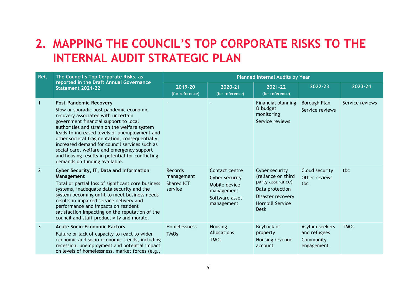# **2. MAPPING THE COUNCIL'S TOP CORPORATE RISKS TO THE INTERNAL AUDIT STRATEGIC PLAN**

| Ref.           | The Council's Top Corporate Risks, as                                                                                                                                                                                                                                                                                                                                                                                                                                                          |                                                       | <b>Planned Internal Audits by Year</b>                                                          |                                                                                                                                     |                                                           |                 |  |  |  |  |
|----------------|------------------------------------------------------------------------------------------------------------------------------------------------------------------------------------------------------------------------------------------------------------------------------------------------------------------------------------------------------------------------------------------------------------------------------------------------------------------------------------------------|-------------------------------------------------------|-------------------------------------------------------------------------------------------------|-------------------------------------------------------------------------------------------------------------------------------------|-----------------------------------------------------------|-----------------|--|--|--|--|
|                | reported in the Draft Annual Governance<br>Statement 2021-22                                                                                                                                                                                                                                                                                                                                                                                                                                   | 2019-20<br>(for reference)                            | 2020-21<br>(for reference)                                                                      | 2021-22<br>(for reference)                                                                                                          | 2022-23                                                   | 2023-24         |  |  |  |  |
|                | <b>Post-Pandemic Recovery</b><br>Slow or sporadic post pandemic economic<br>recovery associated with uncertain<br>government financial support to local<br>authorities and strain on the welfare system<br>leads to increased levels of unemployment and<br>other societal fragmentation; consequentially,<br>increased demand for council services such as<br>social care, welfare and emergency support<br>and housing results in potential for conflicting<br>demands on funding available. |                                                       |                                                                                                 | Financial planning<br>& budget<br>monitoring<br>Service reviews                                                                     | Borough Plan<br>Service reviews                           | Service reviews |  |  |  |  |
| $\overline{2}$ | Cyber Security, IT, Data and Information<br>Management<br>Total or partial loss of significant core business<br>systems, inadequate data security and the<br>system becoming unfit to meet business needs<br>results in impaired service delivery and<br>performance and impacts on resident<br>satisfaction impacting on the reputation of the<br>council and staff productivity and morale.                                                                                                  | <b>Records</b><br>management<br>Shared ICT<br>service | Contact centre<br>Cyber security<br>Mobile device<br>management<br>Software asset<br>management | Cyber security<br>(reliance on third<br>party assurance)<br>Data protection<br>Disaster recovery<br>Hornbill Service<br><b>Desk</b> | Cloud security<br>Other reviews<br>tbc                    | tbc             |  |  |  |  |
| 3              | <b>Acute Socio-Economic Factors</b><br>Failure or lack of capacity to react to wider<br>economic and socio-economic trends, including<br>recession, unemployment and potential impact<br>on levels of homelessness, market forces (e.g.,                                                                                                                                                                                                                                                       | Homelessness<br><b>TMOs</b>                           | Housing<br>Allocations<br><b>TMOs</b>                                                           | <b>Buyback of</b><br>property<br>Housing revenue<br>account                                                                         | Asylum seekers<br>and refugees<br>Community<br>engagement | <b>TMOs</b>     |  |  |  |  |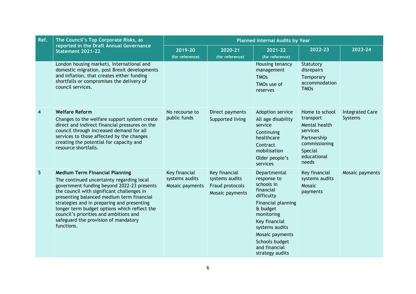| Ref. | The Council's Top Corporate Risks, as                                                                                                                                                                                                                                                                                                                                                                                     | <b>Planned Internal Audits by Year</b>             |                                                                       |                                                                                                                                                                                                                                  |                                                                                                                             |                                   |  |  |  |
|------|---------------------------------------------------------------------------------------------------------------------------------------------------------------------------------------------------------------------------------------------------------------------------------------------------------------------------------------------------------------------------------------------------------------------------|----------------------------------------------------|-----------------------------------------------------------------------|----------------------------------------------------------------------------------------------------------------------------------------------------------------------------------------------------------------------------------|-----------------------------------------------------------------------------------------------------------------------------|-----------------------------------|--|--|--|
|      | reported in the Draft Annual Governance<br>Statement 2021-22                                                                                                                                                                                                                                                                                                                                                              | 2019-20<br>(for reference)                         | 2020-21<br>(for reference)                                            | 2021-22<br>(for reference)                                                                                                                                                                                                       | 2022-23                                                                                                                     | 2023-24                           |  |  |  |
|      | London housing market), international and<br>domestic migration, post Brexit developments<br>and inflation, that creates either funding<br>shortfalls or compromises the delivery of<br>council services.                                                                                                                                                                                                                 |                                                    |                                                                       | Housing tenancy<br>management<br><b>TMOs</b><br>TMOs use of<br>reserves                                                                                                                                                          | Statutory<br>disrepairs<br>Temporary<br>accommodation<br><b>TMOs</b>                                                        |                                   |  |  |  |
| 4    | <b>Welfare Reform</b><br>Changes to the welfare support system create<br>direct and indirect financial pressures on the<br>council through increased demand for all<br>services to those affected by the changes<br>creating the potential for capacity and<br>resource shortfalls.                                                                                                                                       | No recourse to<br>public funds                     | Direct payments<br>Supported living                                   | Adoption service<br>All age disability<br>service<br>Continuing<br>healthcare<br>Contract<br>mobilisation<br>Older people's<br>services                                                                                          | Home to school<br>transport<br>Mental health<br>services<br>Partnership<br>commissioning<br>Special<br>educational<br>needs | <b>Integrated Care</b><br>Systems |  |  |  |
| 5    | <b>Medium Term Financial Planning</b><br>The continued uncertainty regarding local<br>government funding beyond 2022-23 presents<br>the council with significant challenges in<br>presenting balanced medium term financial<br>strategies and in preparing and presenting<br>longer term budget options which reflect the<br>council's priorities and ambitions and<br>safeguard the provision of mandatory<br>functions. | Key financial<br>systems audits<br>Mosaic payments | Key financial<br>systems audits<br>Fraud protocols<br>Mosaic payments | Departmental<br>response to<br>schools in<br>financial<br>difficulty<br>Financial planning<br>& budget<br>monitoring<br>Key financial<br>systems audits<br>Mosaic payments<br>Schools budget<br>and financial<br>strategy audits | Key financial<br>systems audits<br>Mosaic<br>payments                                                                       | Mosaic payments                   |  |  |  |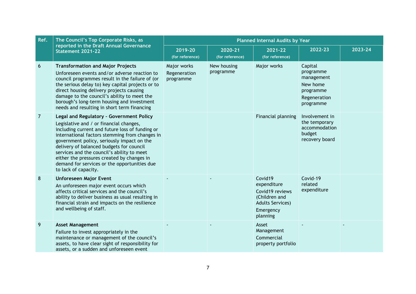| Ref. | The Council's Top Corporate Risks, as                                                                                                                                                                                                                                                                                                                                                                                                                  | <b>Planned Internal Audits by Year</b>   |                            |                                                                                                                |                                                                                          |         |  |  |  |
|------|--------------------------------------------------------------------------------------------------------------------------------------------------------------------------------------------------------------------------------------------------------------------------------------------------------------------------------------------------------------------------------------------------------------------------------------------------------|------------------------------------------|----------------------------|----------------------------------------------------------------------------------------------------------------|------------------------------------------------------------------------------------------|---------|--|--|--|
|      | reported in the Draft Annual Governance<br>Statement 2021-22                                                                                                                                                                                                                                                                                                                                                                                           | 2019-20<br>(for reference)               | 2020-21<br>(for reference) | 2021-22<br>(for reference)                                                                                     | 2022-23                                                                                  | 2023-24 |  |  |  |
| 6    | <b>Transformation and Major Projects</b><br>Unforeseen events and/or adverse reaction to<br>council programmes result in the failure of (or<br>the serious delay to) key capital projects or to<br>direct housing delivery projects causing<br>damage to the council's ability to meet the<br>borough's long-term housing and investment<br>needs and resulting in short term financing                                                                | Major works<br>Regeneration<br>programme | New housing<br>programme   | Major works                                                                                                    | Capital<br>programme<br>management<br>New home<br>programme<br>Regeneration<br>programme |         |  |  |  |
| 7    | Legal and Regulatory - Government Policy<br>Legislative and / or financial changes,<br>including current and future loss of funding or<br>international factors stemming from changes in<br>government policy, seriously impact on the<br>delivery of balanced budgets for council<br>services and the council's ability to meet<br>either the pressures created by changes in<br>demand for services or the opportunities due<br>to lack of capacity. |                                          |                            | Financial planning                                                                                             | Involvement in<br>the temporary<br>accommodation<br>budget<br>recovery board             |         |  |  |  |
| 8    | <b>Unforeseen Major Event</b><br>An unforeseen major event occurs which<br>affects critical services and the council's<br>ability to deliver business as usual resulting in<br>financial strain and impacts on the resilience<br>and wellbeing of staff.                                                                                                                                                                                               |                                          |                            | Covid19<br>expenditure<br>Covid19 reviews<br>(Children and<br><b>Adults Services)</b><br>Emergency<br>planning | Covid-19<br>related<br>expenditure                                                       |         |  |  |  |
| 9    | <b>Asset Management</b><br>Failure to invest appropriately in the<br>maintenance or management of the council's<br>assets, to have clear sight of responsibility for<br>assets, or a sudden and unforeseen event                                                                                                                                                                                                                                       |                                          |                            | Asset<br>Management<br>Commercial<br>property portfolio                                                        |                                                                                          |         |  |  |  |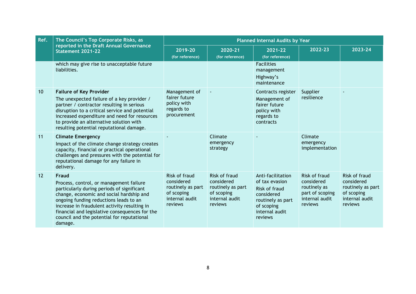| Ref. | The Council's Top Corporate Risks, as                                                                                                                                                                                                                                                                                                           |                                                                                             | <b>Planned Internal Audits by Year</b>                                                      |                                                                                                                                    |                                                                                             |                                                                                             |  |  |  |  |
|------|-------------------------------------------------------------------------------------------------------------------------------------------------------------------------------------------------------------------------------------------------------------------------------------------------------------------------------------------------|---------------------------------------------------------------------------------------------|---------------------------------------------------------------------------------------------|------------------------------------------------------------------------------------------------------------------------------------|---------------------------------------------------------------------------------------------|---------------------------------------------------------------------------------------------|--|--|--|--|
|      | reported in the Draft Annual Governance<br>Statement 2021-22                                                                                                                                                                                                                                                                                    | 2019-20<br>(for reference)                                                                  | 2020-21<br>(for reference)                                                                  | 2021-22<br>(for reference)                                                                                                         | 2022-23                                                                                     | 2023-24                                                                                     |  |  |  |  |
|      | which may give rise to unacceptable future<br>liabilities.                                                                                                                                                                                                                                                                                      |                                                                                             |                                                                                             | <b>Facilities</b><br>management<br>Highway's<br>maintenance                                                                        |                                                                                             |                                                                                             |  |  |  |  |
| 10   | <b>Failure of Key Provider</b><br>The unexpected failure of a key provider /<br>partner / contractor resulting in serious<br>disruption to a critical service and potential<br>increased expenditure and need for resources<br>to provide an alternative solution with<br>resulting potential reputational damage.                              | Management of<br>fairer future<br>policy with<br>regards to<br>procurement                  |                                                                                             | Contracts register<br>Management of<br>fairer future<br>policy with<br>regards to<br>contracts                                     | Supplier<br>resilience                                                                      |                                                                                             |  |  |  |  |
| 11   | <b>Climate Emergency</b><br>Impact of the climate change strategy creates<br>capacity, financial or practical operational<br>challenges and pressures with the potential for<br>reputational damage for any failure in<br>delivery.                                                                                                             |                                                                                             | Climate<br>emergency<br>strategy                                                            |                                                                                                                                    | Climate<br>emergency<br>implementation                                                      |                                                                                             |  |  |  |  |
| 12   | Fraud<br>Process, control, or management failure<br>particularly during periods of significant<br>change, economic and social hardship and<br>ongoing funding reductions leads to an<br>increase in fraudulent activity resulting in<br>financial and legislative consequences for the<br>council and the potential for reputational<br>damage. | Risk of fraud<br>considered<br>routinely as part<br>of scoping<br>internal audit<br>reviews | Risk of fraud<br>considered<br>routinely as part<br>of scoping<br>internal audit<br>reviews | Anti-facilitation<br>of tax evasion<br>Risk of fraud<br>considered<br>routinely as part<br>of scoping<br>internal audit<br>reviews | Risk of fraud<br>considered<br>routinely as<br>part of scoping<br>internal audit<br>reviews | Risk of fraud<br>considered<br>routinely as part<br>of scoping<br>internal audit<br>reviews |  |  |  |  |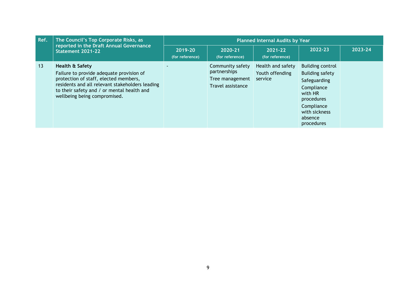| Ref. | The Council's Top Corporate Risks, as                                                                                                                                                                                                 |                            | <b>Planned Internal Audits by Year</b>                                   |                                                 |                                                                                                                                                           |         |  |  |  |  |  |
|------|---------------------------------------------------------------------------------------------------------------------------------------------------------------------------------------------------------------------------------------|----------------------------|--------------------------------------------------------------------------|-------------------------------------------------|-----------------------------------------------------------------------------------------------------------------------------------------------------------|---------|--|--|--|--|--|
|      | reported in the Draft Annual Governance<br>Statement 2021-22                                                                                                                                                                          | 2019-20<br>(for reference) | 2020-21<br>(for reference)                                               | 2021-22<br>(for reference)                      | 2022-23                                                                                                                                                   | 2023-24 |  |  |  |  |  |
| 13   | Health & Safety<br>Failure to provide adequate provision of<br>protection of staff, elected members,<br>residents and all relevant stakeholders leading<br>to their safety and / or mental health and<br>wellbeing being compromised. |                            | Community safety<br>partnerships<br>Tree management<br>Travel assistance | Health and safety<br>Youth offending<br>service | <b>Building control</b><br>Building safety<br>Safeguarding<br>Compliance<br>with HR<br>procedures<br>Compliance<br>with sickness<br>absence<br>procedures |         |  |  |  |  |  |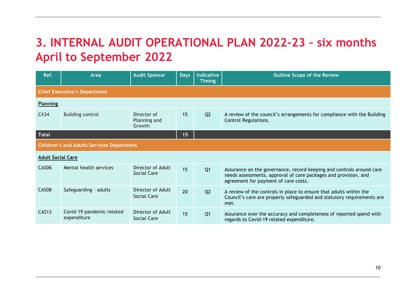# **3. INTERNAL AUDIT OPERATIONAL PLAN 2022-23 – six months April to September 2022**

| Ref.                     | Area                                             | <b>Audit Sponsor</b>                  | <b>Days</b> | <b>Indicative</b><br><b>Timing</b> | <b>Outline Scope of the Review</b>                                                                                                                                              |  |  |  |  |  |
|--------------------------|--------------------------------------------------|---------------------------------------|-------------|------------------------------------|---------------------------------------------------------------------------------------------------------------------------------------------------------------------------------|--|--|--|--|--|
|                          | <b>Chief Executive's Department</b>              |                                       |             |                                    |                                                                                                                                                                                 |  |  |  |  |  |
| <b>Planning</b>          |                                                  |                                       |             |                                    |                                                                                                                                                                                 |  |  |  |  |  |
| CX <sub>34</sub>         | <b>Building control</b>                          | Director of<br>Planning and<br>Growth | 15          | Q <sub>2</sub>                     | A review of the council's arrangements for compliance with the Building<br>Control Regulations.                                                                                 |  |  |  |  |  |
| <b>Total</b>             |                                                  |                                       | 15          |                                    |                                                                                                                                                                                 |  |  |  |  |  |
|                          | <b>Children's and Adults Services Department</b> |                                       |             |                                    |                                                                                                                                                                                 |  |  |  |  |  |
| <b>Adult Social Care</b> |                                                  |                                       |             |                                    |                                                                                                                                                                                 |  |  |  |  |  |
| CAS <sub>06</sub>        | Mental health services                           | Director of Adult<br>Social Care      | 15          | Q <sub>1</sub>                     | Assurance on the governance, record keeping and controls around care<br>needs assessments, approval of care packages and provision, and<br>agreement for payment of care costs. |  |  |  |  |  |
| CAS08                    | Safeguarding - adults                            | Director of Adult<br>Social Care      | 20          | Q <sub>2</sub>                     | A review of the controls in place to ensure that adults within the<br>Council's care are properly safeguarded and statutory requirements are<br>met.                            |  |  |  |  |  |
| <b>CAS13</b>             | Covid-19 pandemic related<br>expenditure         | Director of Adult<br>Social Care      | 15          | Q <sub>1</sub>                     | Assurance over the accuracy and completeness of reported spend with<br>regards to Covid-19 related expenditure.                                                                 |  |  |  |  |  |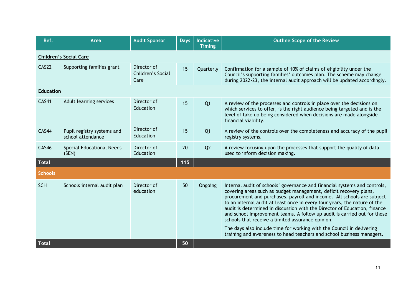| Ref.             | Area                                            | <b>Audit Sponsor</b>                     | <b>Days</b> | <b>Indicative</b><br><b>Timing</b> | <b>Outline Scope of the Review</b>                                                                                                                                                                                                                                                                                                                                                                                                                                                                                                                                                                                                                                    |
|------------------|-------------------------------------------------|------------------------------------------|-------------|------------------------------------|-----------------------------------------------------------------------------------------------------------------------------------------------------------------------------------------------------------------------------------------------------------------------------------------------------------------------------------------------------------------------------------------------------------------------------------------------------------------------------------------------------------------------------------------------------------------------------------------------------------------------------------------------------------------------|
|                  | <b>Children's Social Care</b>                   |                                          |             |                                    |                                                                                                                                                                                                                                                                                                                                                                                                                                                                                                                                                                                                                                                                       |
| CAS22            | Supporting families grant                       | Director of<br>Children's Social<br>Care | 15          | Quarterly                          | Confirmation for a sample of 10% of claims of eligibility under the<br>Council's supporting families' outcomes plan. The scheme may change<br>during 2022-23, the internal audit approach will be updated accordingly.                                                                                                                                                                                                                                                                                                                                                                                                                                                |
| <b>Education</b> |                                                 |                                          |             |                                    |                                                                                                                                                                                                                                                                                                                                                                                                                                                                                                                                                                                                                                                                       |
| <b>CAS41</b>     | Adult learning services                         | Director of<br>Education                 | 15          | Q <sub>1</sub>                     | A review of the processes and controls in place over the decisions on<br>which services to offer, is the right audience being targeted and is the<br>level of take up being considered when decisions are made alongside<br>financial viability.                                                                                                                                                                                                                                                                                                                                                                                                                      |
| CAS44            | Pupil registry systems and<br>school attendance | Director of<br>Education                 | 15          | Q <sub>1</sub>                     | A review of the controls over the completeness and accuracy of the pupil<br>registry systems.                                                                                                                                                                                                                                                                                                                                                                                                                                                                                                                                                                         |
| <b>CAS46</b>     | Special Educational Needs<br>(SEN)              | Director of<br>Education                 | 20          | Q <sub>2</sub>                     | A review focusing upon the processes that support the quality of data<br>used to inform decision making.                                                                                                                                                                                                                                                                                                                                                                                                                                                                                                                                                              |
| <b>Total</b>     |                                                 |                                          | 115         |                                    |                                                                                                                                                                                                                                                                                                                                                                                                                                                                                                                                                                                                                                                                       |
| <b>Schools</b>   |                                                 |                                          |             |                                    |                                                                                                                                                                                                                                                                                                                                                                                                                                                                                                                                                                                                                                                                       |
| <b>SCH</b>       | Schools internal audit plan                     | Director of<br>education                 | 50          | Ongoing                            | Internal audit of schools' governance and financial systems and controls,<br>covering areas such as budget management, deficit recovery plans,<br>procurement and purchases, payroll and income. All schools are subject<br>to an internal audit at least once in every four years, the nature of the<br>audit is determined in discussion with the Director of Education, finance<br>and school improvement teams. A follow up audit is carried out for those<br>schools that receive a limited assurance opinion.<br>The days also include time for working with the Council in delivering<br>training and awareness to head teachers and school business managers. |
| <b>Total</b>     |                                                 |                                          | 50          |                                    |                                                                                                                                                                                                                                                                                                                                                                                                                                                                                                                                                                                                                                                                       |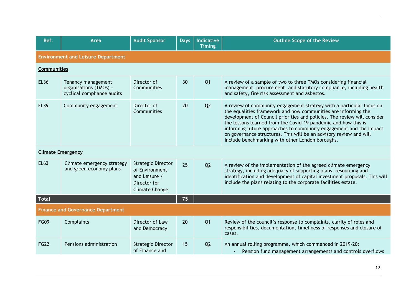| Ref.                     | Area                                                                       | <b>Audit Sponsor</b>                                                                                  | <b>Days</b> | <b>Indicative</b> | <b>Outline Scope of the Review</b>                                                                                                                                                                                                                                                                                                                                                                                                                                                   |
|--------------------------|----------------------------------------------------------------------------|-------------------------------------------------------------------------------------------------------|-------------|-------------------|--------------------------------------------------------------------------------------------------------------------------------------------------------------------------------------------------------------------------------------------------------------------------------------------------------------------------------------------------------------------------------------------------------------------------------------------------------------------------------------|
|                          |                                                                            |                                                                                                       |             | <b>Timing</b>     |                                                                                                                                                                                                                                                                                                                                                                                                                                                                                      |
|                          | <b>Environment and Leisure Department</b>                                  |                                                                                                       |             |                   |                                                                                                                                                                                                                                                                                                                                                                                                                                                                                      |
| Communities              |                                                                            |                                                                                                       |             |                   |                                                                                                                                                                                                                                                                                                                                                                                                                                                                                      |
| <b>EL36</b>              | Tenancy management<br>organisations (TMOs) -<br>cyclical compliance audits | Director of<br>Communities                                                                            | 30          | Q <sub>1</sub>    | A review of a sample of two to three TMOs considering financial<br>management, procurement, and statutory compliance, including health<br>and safety, fire risk assessment and asbestos.                                                                                                                                                                                                                                                                                             |
| <b>EL39</b>              | Community engagement                                                       | Director of<br>Communities                                                                            | 20          | Q <sub>2</sub>    | A review of community engagement strategy with a particular focus on<br>the equalities framework and how communities are informing the<br>development of Council priorities and policies. The review will consider<br>the lessons learned from the Covid-19 pandemic and how this is<br>informing future approaches to community engagement and the impact<br>on governance structures. This will be an advisory review and will<br>include benchmarking with other London boroughs. |
| <b>Climate Emergency</b> |                                                                            |                                                                                                       |             |                   |                                                                                                                                                                                                                                                                                                                                                                                                                                                                                      |
| <b>EL63</b>              | Climate emergency strategy<br>and green economy plans                      | <b>Strategic Director</b><br>of Environment<br>and Leisure /<br>Director for<br><b>Climate Change</b> | 25          | Q2                | A review of the implementation of the agreed climate emergency<br>strategy, including adequacy of supporting plans, resourcing and<br>identification and development of capital investment proposals. This will<br>include the plans relating to the corporate facilities estate.                                                                                                                                                                                                    |
| <b>Total</b>             |                                                                            |                                                                                                       | 75          |                   |                                                                                                                                                                                                                                                                                                                                                                                                                                                                                      |
|                          | <b>Finance and Governance Department</b>                                   |                                                                                                       |             |                   |                                                                                                                                                                                                                                                                                                                                                                                                                                                                                      |
| <b>FG09</b>              | Complaints                                                                 | Director of Law<br>and Democracy                                                                      | 20          | Q <sub>1</sub>    | Review of the council's response to complaints, clarity of roles and<br>responsibilities, documentation, timeliness of responses and closure of<br>cases.                                                                                                                                                                                                                                                                                                                            |
| <b>FG22</b>              | Pensions administration                                                    | <b>Strategic Director</b><br>of Finance and                                                           | 15          | Q <sub>2</sub>    | An annual rolling programme, which commenced in 2019-20:<br>Pension fund management arrangements and controls overflows                                                                                                                                                                                                                                                                                                                                                              |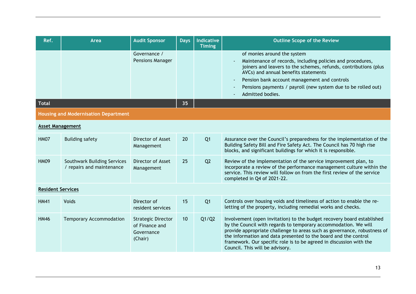| Ref.                     | Area                                                     | <b>Audit Sponsor</b>                                                 | <b>Days</b> | <b>Indicative</b><br><b>Timing</b> | <b>Outline Scope of the Review</b>                                                                                                                                                                                                                                                                                                                                                                 |
|--------------------------|----------------------------------------------------------|----------------------------------------------------------------------|-------------|------------------------------------|----------------------------------------------------------------------------------------------------------------------------------------------------------------------------------------------------------------------------------------------------------------------------------------------------------------------------------------------------------------------------------------------------|
|                          |                                                          | Governance /<br><b>Pensions Manager</b>                              |             |                                    | of monies around the system<br>Maintenance of records, including policies and procedures,<br>joiners and leavers to the schemes, refunds, contributions (plus<br>AVCs) and annual benefits statements<br>Pension bank account management and controls<br>Pensions payments / payroll (new system due to be rolled out)<br>Admitted bodies.                                                         |
| Total                    |                                                          |                                                                      | 35          |                                    |                                                                                                                                                                                                                                                                                                                                                                                                    |
|                          | <b>Housing and Modernisation Department</b>              |                                                                      |             |                                    |                                                                                                                                                                                                                                                                                                                                                                                                    |
| <b>Asset Management</b>  |                                                          |                                                                      |             |                                    |                                                                                                                                                                                                                                                                                                                                                                                                    |
| <b>HM07</b>              | <b>Building safety</b>                                   | Director of Asset<br>Management                                      | 20          | Q <sub>1</sub>                     | Assurance over the Council's preparedness for the implementation of the<br>Building Safety Bill and Fire Safety Act. The Council has 70 high rise<br>blocks, and significant buildings for which it is responsible.                                                                                                                                                                                |
| <b>HM09</b>              | Southwark Building Services<br>/ repairs and maintenance | Director of Asset<br>Management                                      | 25          | Q <sub>2</sub>                     | Review of the implementation of the service improvement plan, to<br>incorporate a review of the performance management culture within the<br>service. This review will follow on from the first review of the service<br>completed in Q4 of 2021-22.                                                                                                                                               |
| <b>Resident Services</b> |                                                          |                                                                      |             |                                    |                                                                                                                                                                                                                                                                                                                                                                                                    |
| <b>HM41</b>              | Voids                                                    | Director of<br>resident services                                     | 15          | Q <sub>1</sub>                     | Controls over housing voids and timeliness of action to enable the re-<br>letting of the property, including remedial works and checks.                                                                                                                                                                                                                                                            |
| <b>HM46</b>              | Temporary Accommodation                                  | <b>Strategic Director</b><br>of Finance and<br>Governance<br>(Chair) | 10          | Q1/Q2                              | Involvement (open invitation) to the budget recovery board established<br>by the Council with regards to temporary accommodation. We will<br>provide appropriate challenge to areas such as governance, robustness of<br>the information and data presented to the board and the control<br>framework. Our specific role is to be agreed in discussion with the<br>Council. This will be advisory. |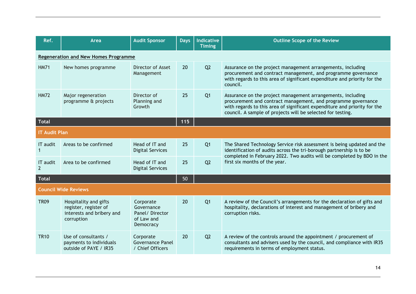| Ref.                              | Area                                                                                      | <b>Audit Sponsor</b>                                                 | <b>Days</b> | <b>Indicative</b><br><b>Timing</b> | <b>Outline Scope of the Review</b>                                                                                                                                                                                                                                       |
|-----------------------------------|-------------------------------------------------------------------------------------------|----------------------------------------------------------------------|-------------|------------------------------------|--------------------------------------------------------------------------------------------------------------------------------------------------------------------------------------------------------------------------------------------------------------------------|
|                                   | <b>Regeneration and New Homes Programme</b>                                               |                                                                      |             |                                    |                                                                                                                                                                                                                                                                          |
| <b>HM71</b>                       | New homes programme                                                                       | Director of Asset<br>Management                                      | 20          | Q <sub>2</sub>                     | Assurance on the project management arrangements, including<br>procurement and contract management, and programme governance<br>with regards to this area of significant expenditure and priority for the<br>council.                                                    |
| <b>HM72</b>                       | Major regeneration<br>programme & projects                                                | Director of<br>Planning and<br>Growth                                | 25          | Q <sub>1</sub>                     | Assurance on the project management arrangements, including<br>procurement and contract management, and programme governance<br>with regards to this area of significant expenditure and priority for the<br>council. A sample of projects will be selected for testing. |
| <b>Total</b>                      |                                                                                           |                                                                      | 115         |                                    |                                                                                                                                                                                                                                                                          |
| <b>IT Audit Plan</b>              |                                                                                           |                                                                      |             |                                    |                                                                                                                                                                                                                                                                          |
| IT audit                          | Areas to be confirmed                                                                     | Head of IT and<br><b>Digital Services</b>                            | 25          | Q <sub>1</sub>                     | The Shared Technology Service risk assessment is being updated and the<br>identification of audits across the tri-borough partnership is to be<br>completed in February 2022. Two audits will be completed by BDO in the                                                 |
| <b>IT</b> audit<br>$\overline{2}$ | Area to be confirmed                                                                      | Head of IT and<br><b>Digital Services</b>                            | 25          | Q <sub>2</sub>                     | first six months of the year.                                                                                                                                                                                                                                            |
| <b>Total</b>                      |                                                                                           |                                                                      | 50          |                                    |                                                                                                                                                                                                                                                                          |
|                                   | <b>Council Wide Reviews</b>                                                               |                                                                      |             |                                    |                                                                                                                                                                                                                                                                          |
| <b>TR09</b>                       | Hospitality and gifts<br>register, register of<br>interests and bribery and<br>corruption | Corporate<br>Governance<br>Panel/Director<br>of Law and<br>Democracy | 20          | Q <sub>1</sub>                     | A review of the Council's arrangements for the declaration of gifts and<br>hospitality, declarations of interest and management of bribery and<br>corruption risks.                                                                                                      |
| <b>TR10</b>                       | Use of consultants /<br>payments to individuals<br>outside of PAYE / IR35                 | Corporate<br><b>Governance Panel</b><br>/ Chief Officers             | 20          | Q2                                 | A review of the controls around the appointment / procurement of<br>consultants and advisers used by the council, and compliance with IR35<br>requirements in terms of employment status.                                                                                |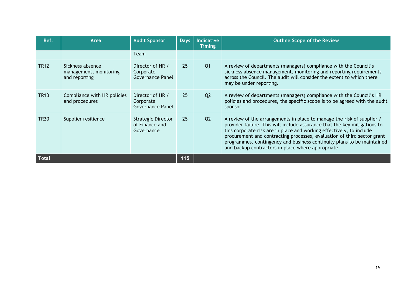| Ref.         | Area                                                        | <b>Audit Sponsor</b>                               | <b>Days</b> | <b>Indicative</b><br><b>Timing</b> | <b>Outline Scope of the Review</b>                                                                                                                                                                                                                                                                                                                                                                                                     |
|--------------|-------------------------------------------------------------|----------------------------------------------------|-------------|------------------------------------|----------------------------------------------------------------------------------------------------------------------------------------------------------------------------------------------------------------------------------------------------------------------------------------------------------------------------------------------------------------------------------------------------------------------------------------|
|              |                                                             | Team                                               |             |                                    |                                                                                                                                                                                                                                                                                                                                                                                                                                        |
| <b>TR12</b>  | Sickness absence<br>management, monitoring<br>and reporting | Director of HR /<br>Corporate<br>Governance Panel  | 25          | Q <sub>1</sub>                     | A review of departments (managers) compliance with the Council's<br>sickness absence management, monitoring and reporting requirements<br>across the Council. The audit will consider the extent to which there<br>may be under reporting.                                                                                                                                                                                             |
| <b>TR13</b>  | Compliance with HR policies<br>and procedures               | Director of HR /<br>Corporate<br>Governance Panel  | 25          | Q <sub>2</sub>                     | A review of departments (managers) compliance with the Council's HR<br>policies and procedures, the specific scope is to be agreed with the audit<br>sponsor.                                                                                                                                                                                                                                                                          |
| <b>TR20</b>  | Supplier resilience                                         | Strategic Director<br>of Finance and<br>Governance | 25          | Q <sub>2</sub>                     | A review of the arrangements in place to manage the risk of supplier /<br>provider failure. This will include assurance that the key mitigations to<br>this corporate risk are in place and working effectively, to include<br>procurement and contracting processes, evaluation of third sector grant<br>programmes, contingency and business continuity plans to be maintained<br>and backup contractors in place where appropriate. |
| <b>Total</b> |                                                             |                                                    | 115         |                                    |                                                                                                                                                                                                                                                                                                                                                                                                                                        |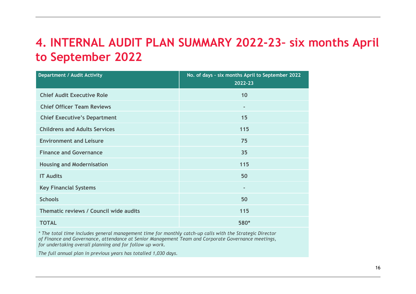# **4. INTERNAL AUDIT PLAN SUMMARY 2022-23– six months April to September 2022**

| <b>Department / Audit Activity</b>     | No. of days - six months April to September 2022<br>2022-23 |
|----------------------------------------|-------------------------------------------------------------|
| <b>Chief Audit Executive Role</b>      | 10                                                          |
| <b>Chief Officer Team Reviews</b>      | $\blacksquare$                                              |
| <b>Chief Executive's Department</b>    | 15                                                          |
| <b>Childrens and Adults Services</b>   | 115                                                         |
| <b>Environment and Leisure</b>         | 75                                                          |
| <b>Finance and Governance</b>          | 35                                                          |
| <b>Housing and Modernisation</b>       | 115                                                         |
| <b>IT Audits</b>                       | 50                                                          |
| <b>Key Financial Systems</b>           | $\overline{\phantom{a}}$                                    |
| <b>Schools</b>                         | 50                                                          |
| Thematic reviews / Council wide audits | 115                                                         |
| <b>TOTAL</b>                           | 580*                                                        |

*\* The total time includes general management time for monthly catch-up calls with the Strategic Director of Finance and Governance, attendance at Senior Management Team and Corporate Governance meetings, for undertaking overall planning and for follow up work.*

*The full annual plan in previous years has totalled 1,030 days.*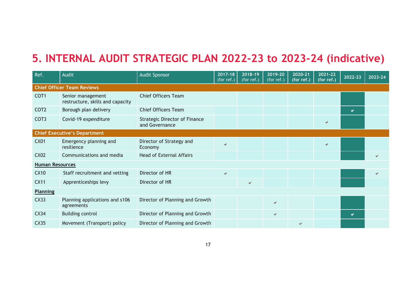### **5. INTERNAL AUDIT STRATEGIC PLAN 2022-23 to 2023-24 (indicative)**

| Ref.                   | Audit                                                 | <b>Audit Sponsor</b>                                   | 2017-18<br>(for ref.) | $2018 - 19$<br>(for ref.) | 2019-20<br>(for ref.) | 2020-21<br>(for ref.) | 2021-22<br>(for ref.) | 2022-23 | 2023-24 |
|------------------------|-------------------------------------------------------|--------------------------------------------------------|-----------------------|---------------------------|-----------------------|-----------------------|-----------------------|---------|---------|
|                        | <b>Chief Officer Team Reviews</b>                     |                                                        |                       |                           |                       |                       |                       |         |         |
| COT <sub>1</sub>       | Senior management<br>restructure, skills and capacity | <b>Chief Officers Team</b>                             |                       |                           |                       |                       |                       |         |         |
| COT <sub>2</sub>       | Borough plan delivery                                 | <b>Chief Officers Team</b>                             |                       |                           |                       |                       |                       | v       |         |
| COT <sub>3</sub>       | Covid-19 expenditure                                  | <b>Strategic Director of Finance</b><br>and Governance |                       |                           |                       |                       |                       |         |         |
|                        | <b>Chief Executive's Department</b>                   |                                                        |                       |                           |                       |                       |                       |         |         |
| <b>CX01</b>            | Emergency planning and<br>resilience                  | Director of Strategy and<br>Economy                    | $\checkmark$          |                           |                       |                       | ✔                     |         |         |
| <b>CX02</b>            | Communications and media                              | <b>Head of External Affairs</b>                        |                       |                           |                       |                       |                       |         | U       |
| <b>Human Resources</b> |                                                       |                                                        |                       |                           |                       |                       |                       |         |         |
| <b>CX10</b>            | Staff recruitment and vetting                         | Director of HR                                         | $\checkmark$          |                           |                       |                       |                       |         | ✔       |
| <b>CX11</b>            | Apprenticeships levy                                  | Director of HR                                         |                       | V                         |                       |                       |                       |         |         |
| <b>Planning</b>        |                                                       |                                                        |                       |                           |                       |                       |                       |         |         |
| CX33                   | Planning applications and s106<br>agreements          | Director of Planning and Growth                        |                       |                           | $\checkmark$          |                       |                       |         |         |
| CX34                   | <b>Building control</b>                               | Director of Planning and Growth                        |                       |                           | $\checkmark$          |                       |                       | v       |         |
| <b>CX35</b>            | Movement (Transport) policy                           | Director of Planning and Growth                        |                       |                           |                       | ✔                     |                       |         |         |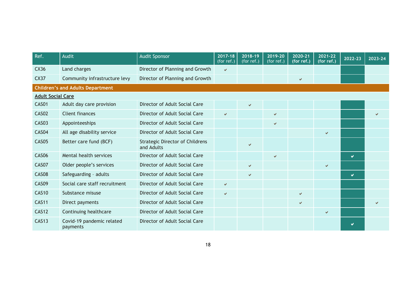| Ref.                     | Audit                                   | <b>Audit Sponsor</b>                                 | 2017-18<br>(for $ref.$ ) | 2018-19<br>(for ref.) | 2019-20<br>(for ref.) | 2020-21<br>(for ref.) | 2021-22<br>$($ for ref.) | 2022-23 | 2023-24 |
|--------------------------|-----------------------------------------|------------------------------------------------------|--------------------------|-----------------------|-----------------------|-----------------------|--------------------------|---------|---------|
| CX36                     | Land charges                            | Director of Planning and Growth                      | V                        |                       |                       |                       |                          |         |         |
| <b>CX37</b>              | Community infrastructure levy           | Director of Planning and Growth                      |                          |                       |                       | v                     |                          |         |         |
|                          | <b>Children's and Adults Department</b> |                                                      |                          |                       |                       |                       |                          |         |         |
| <b>Adult Social Care</b> |                                         |                                                      |                          |                       |                       |                       |                          |         |         |
| CAS01                    | Adult day care provision                | Director of Adult Social Care                        |                          | V                     |                       |                       |                          |         |         |
| CAS02                    | Client finances                         | Director of Adult Social Care                        | $\checkmark$             |                       | $\checkmark$          |                       |                          |         |         |
| CAS03                    | Appointeeships                          | Director of Adult Social Care                        |                          |                       | $\checkmark$          |                       |                          |         |         |
| CAS <sub>04</sub>        | All age disability service              | Director of Adult Social Care                        |                          |                       |                       |                       | $\checkmark$             |         |         |
| CAS05                    | Better care fund (BCF)                  | <b>Strategic Director of Childrens</b><br>and Adults |                          | ✔                     |                       |                       |                          |         |         |
| <b>CAS06</b>             | Mental health services                  | Director of Adult Social Care                        |                          |                       | $\checkmark$          |                       |                          | ✔       |         |
| CAS07                    | Older people's services                 | Director of Adult Social Care                        |                          | ✔                     |                       |                       | $\checkmark$             |         |         |
| CAS08                    | Safeguarding - adults                   | Director of Adult Social Care                        |                          | ✔                     |                       |                       |                          | ✔       |         |
| CAS09                    | Social care staff recruitment           | Director of Adult Social Care                        | $\checkmark$             |                       |                       |                       |                          |         |         |
| <b>CAS10</b>             | Substance misuse                        | Director of Adult Social Care                        | $\checkmark$             |                       |                       | V                     |                          |         |         |
| <b>CAS11</b>             | Direct payments                         | Director of Adult Social Care                        |                          |                       |                       | $\checkmark$          |                          |         | ✔       |
| <b>CAS12</b>             | Continuing healthcare                   | Director of Adult Social Care                        |                          |                       |                       |                       | $\checkmark$             |         |         |
| <b>CAS13</b>             | Covid-19 pandemic related<br>payments   | Director of Adult Social Care                        |                          |                       |                       |                       |                          |         |         |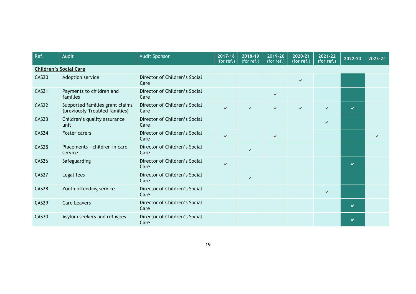| Ref.         | Audit                                                             | <b>Audit Sponsor</b>                  | 2017-18<br>(for ref.) | 2018-19<br>$\sqrt{\frac{1}{1}}$ (for ref.) | 2019-20<br>(for ref.) | 2020-21<br>(for ref.) | 2021-22<br>(for ref.) | 2022-23 | 2023-24 |
|--------------|-------------------------------------------------------------------|---------------------------------------|-----------------------|--------------------------------------------|-----------------------|-----------------------|-----------------------|---------|---------|
|              | <b>Children's Social Care</b>                                     |                                       |                       |                                            |                       |                       |                       |         |         |
| CAS20        | Adoption service                                                  | Director of Children's Social<br>Care |                       |                                            |                       | $\checkmark$          |                       |         |         |
| CAS21        | Payments to children and<br>families                              | Director of Children's Social<br>Care |                       |                                            | $\checkmark$          |                       |                       |         |         |
| CAS22        | Supported families grant claims<br>(previously Troubled families) | Director of Children's Social<br>Care | $\checkmark$          | $\checkmark$                               | v                     | V                     |                       | V       |         |
| CAS23        | Children's quality assurance<br>unit                              | Director of Children's Social<br>Care |                       |                                            |                       |                       |                       |         |         |
| CAS24        | <b>Foster carers</b>                                              | Director of Children's Social<br>Care | $\checkmark$          |                                            | $\checkmark$          |                       |                       |         |         |
| CAS25        | Placements - children in care<br>service                          | Director of Children's Social<br>Care |                       | $\checkmark$                               |                       |                       |                       |         |         |
| CAS26        | Safeguarding                                                      | Director of Children's Social<br>Care | $\checkmark$          |                                            |                       |                       |                       | M       |         |
| CAS27        | Legal fees                                                        | Director of Children's Social<br>Care |                       | $\checkmark$                               |                       |                       |                       |         |         |
| CAS28        | Youth offending service                                           | Director of Children's Social<br>Care |                       |                                            |                       |                       | $\checkmark$          |         |         |
| CAS29        | <b>Care Leavers</b>                                               | Director of Children's Social<br>Care |                       |                                            |                       |                       |                       | V       |         |
| <b>CAS30</b> | Asylum seekers and refugees                                       | Director of Children's Social<br>Care |                       |                                            |                       |                       |                       |         |         |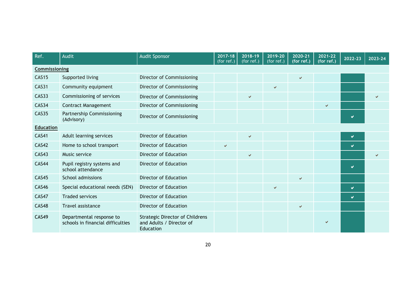| Ref.             | Audit                                                         | <b>Audit Sponsor</b>                                                            | $2017 - 18$<br>(for $ref.$ ) | 2018-19<br>(for ref.) | 2019-20<br>$(for$ ref.) | 2020-21<br>(for ref.) | 2021-22<br>(for ref.) | 2022-23 | 2023-24 |
|------------------|---------------------------------------------------------------|---------------------------------------------------------------------------------|------------------------------|-----------------------|-------------------------|-----------------------|-----------------------|---------|---------|
| Commissioning    |                                                               |                                                                                 |                              |                       |                         |                       |                       |         |         |
| <b>CAS15</b>     | Supported living                                              | Director of Commissioning                                                       |                              |                       |                         | ✔                     |                       |         |         |
| <b>CAS31</b>     | Community equipment                                           | Director of Commissioning                                                       |                              |                       | v                       |                       |                       |         |         |
| <b>CAS33</b>     | Commissioning of services                                     | Director of Commissioning                                                       |                              | V                     |                         |                       |                       |         |         |
| CAS34            | <b>Contract Management</b>                                    | Director of Commissioning                                                       |                              |                       |                         |                       | $\checkmark$          |         |         |
| CAS35            | Partnership Commissioning<br>(Advisory)                       | Director of Commissioning                                                       |                              |                       |                         |                       |                       | M       |         |
| <b>Education</b> |                                                               |                                                                                 |                              |                       |                         |                       |                       |         |         |
| <b>CAS41</b>     | Adult learning services                                       | Director of Education                                                           |                              | $\checkmark$          |                         |                       |                       | v       |         |
| <b>CAS42</b>     | Home to school transport                                      | Director of Education                                                           | $\checkmark$                 |                       |                         |                       |                       | V       |         |
| <b>CAS43</b>     | Music service                                                 | Director of Education                                                           |                              | V                     |                         |                       |                       |         |         |
| CAS44            | Pupil registry systems and<br>school attendance               | <b>Director of Education</b>                                                    |                              |                       |                         |                       |                       | V       |         |
| CAS45            | School admissions                                             | Director of Education                                                           |                              |                       |                         | V                     |                       |         |         |
| CAS46            | Special educational needs (SEN)                               | Director of Education                                                           |                              |                       | v                       |                       |                       | V       |         |
| CAS47            | <b>Traded services</b>                                        | Director of Education                                                           |                              |                       |                         |                       |                       | V       |         |
| <b>CAS48</b>     | Travel assistance                                             | Director of Education                                                           |                              |                       |                         | ✔                     |                       |         |         |
| <b>CAS49</b>     | Departmental response to<br>schools in financial difficulties | <b>Strategic Director of Childrens</b><br>and Adults / Director of<br>Education |                              |                       |                         |                       |                       |         |         |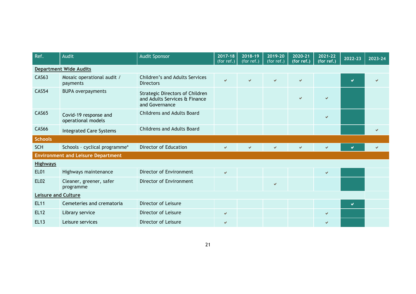| Ref.                       | <b>Audit</b>                                | <b>Audit Sponsor</b>                                                                      | $2017 - 18$<br>(for $ref.$ ) | 2018-19<br>(for ref.) | 2019-20<br>(for ref.) | 2020-21<br>(for ref.) | 2021-22<br>(for ref.) | 2022-23 | 2023-24 |
|----------------------------|---------------------------------------------|-------------------------------------------------------------------------------------------|------------------------------|-----------------------|-----------------------|-----------------------|-----------------------|---------|---------|
|                            | <b>Department Wide Audits</b>               |                                                                                           |                              |                       |                       |                       |                       |         |         |
| <b>CAS63</b>               | Mosaic operational audit /<br>payments      | <b>Children's and Adults Services</b><br><b>Directors</b>                                 | V                            | $\checkmark$          | V                     | V                     |                       | Ø       |         |
| <b>CAS54</b>               | <b>BUPA overpayments</b>                    | <b>Strategic Directors of Children</b><br>and Adults Services & Finance<br>and Governance |                              |                       |                       | ✔                     |                       |         |         |
| <b>CAS65</b>               | Covid-19 response and<br>operational models | <b>Childrens and Adults Board</b>                                                         |                              |                       |                       |                       |                       |         |         |
| <b>CAS66</b>               | <b>Integrated Care Systems</b>              | <b>Childrens and Adults Board</b>                                                         |                              |                       |                       |                       |                       |         | V       |
| <b>Schools</b>             |                                             |                                                                                           |                              |                       |                       |                       |                       |         |         |
| <b>SCH</b>                 | Schools - cyclical programme*               | Director of Education                                                                     | $\checkmark$                 | ✔                     | v                     | V                     | V                     | ✔       | v       |
|                            | <b>Environment and Leisure Department</b>   |                                                                                           |                              |                       |                       |                       |                       |         |         |
| <b>Highways</b>            |                                             |                                                                                           |                              |                       |                       |                       |                       |         |         |
| <b>EL01</b>                | Highways maintenance                        | Director of Environment                                                                   | $\checkmark$                 |                       |                       |                       | $\checkmark$          |         |         |
| <b>EL02</b>                | Cleaner, greener, safer<br>programme        | Director of Environment                                                                   |                              |                       | V                     |                       |                       |         |         |
| <b>Leisure and Culture</b> |                                             |                                                                                           |                              |                       |                       |                       |                       |         |         |
| <b>EL11</b>                | Cemeteries and crematoria                   | Director of Leisure                                                                       |                              |                       |                       |                       |                       | ✔       |         |
| <b>EL12</b>                | Library service                             | Director of Leisure                                                                       | $\checkmark$                 |                       |                       |                       | ✓                     |         |         |
| <b>EL13</b>                | Leisure services                            | Director of Leisure                                                                       | ✔                            |                       |                       |                       |                       |         |         |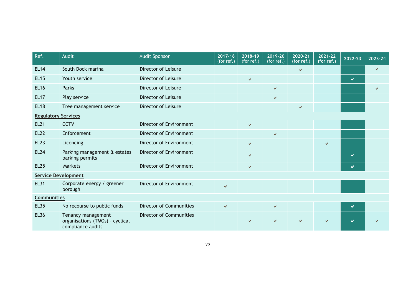| Ref.                       | Audit                                                                      | <b>Audit Sponsor</b>           | 2017-18<br>(for $ref.$ ) | 2018-19<br>(for ref.) | 2019-20<br>$(for$ ref.) | 2020-21<br>(for $ref.)$ | 2021-22<br>(for ref.) | 2022-23 | 2023-24 |
|----------------------------|----------------------------------------------------------------------------|--------------------------------|--------------------------|-----------------------|-------------------------|-------------------------|-----------------------|---------|---------|
| <b>EL14</b>                | South Dock marina                                                          | Director of Leisure            |                          |                       |                         | $\checkmark$            |                       |         |         |
| <b>EL15</b>                | Youth service                                                              | Director of Leisure            |                          | ✔                     |                         |                         |                       | v       |         |
| <b>EL16</b>                | Parks                                                                      | Director of Leisure            |                          |                       | v.                      |                         |                       |         |         |
| <b>EL17</b>                | Play service                                                               | Director of Leisure            |                          |                       | v.                      |                         |                       |         |         |
| <b>EL18</b>                | Tree management service                                                    | Director of Leisure            |                          |                       |                         | $\checkmark$            |                       |         |         |
| <b>Regulatory Services</b> |                                                                            |                                |                          |                       |                         |                         |                       |         |         |
| <b>EL21</b>                | <b>CCTV</b>                                                                | Director of Environment        |                          | $\checkmark$          |                         |                         |                       |         |         |
| <b>EL22</b>                | Enforcement                                                                | Director of Environment        |                          |                       | $\checkmark$            |                         |                       |         |         |
| <b>EL23</b>                | Licencing                                                                  | Director of Environment        |                          | V                     |                         |                         | $\checkmark$          |         |         |
| <b>EL24</b>                | Parking management & estates<br>parking permits                            | Director of Environment        |                          | V                     |                         |                         |                       | v       |         |
| <b>EL25</b>                | <b>Markets</b>                                                             | Director of Environment        |                          | V                     |                         |                         |                       | V       |         |
| <b>Service Development</b> |                                                                            |                                |                          |                       |                         |                         |                       |         |         |
| <b>EL31</b>                | Corporate energy / greener<br>borough                                      | Director of Environment        | $\checkmark$             |                       |                         |                         |                       |         |         |
| <b>Communities</b>         |                                                                            |                                |                          |                       |                         |                         |                       |         |         |
| <b>EL35</b>                | No recourse to public funds                                                | <b>Director of Communities</b> | $\checkmark$             |                       | v.                      |                         |                       | V       |         |
| <b>EL36</b>                | Tenancy management<br>organisations (TMOs) - cyclical<br>compliance audits | <b>Director of Communities</b> |                          | ✔                     |                         |                         |                       | v       |         |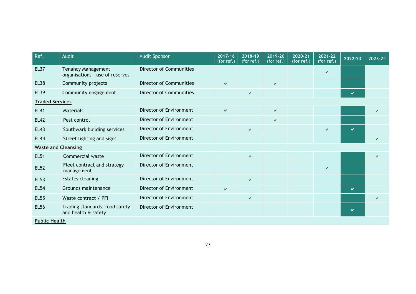| Ref.                       | Audit                                                        | <b>Audit Sponsor</b>           | $2017 - 18$<br>(for ref.) | 2018-19<br>(for ref.) | 2019-20<br>(for ref.) | 2020-21<br>(for ref.) | 2021-22<br>(for ref.) | 2022-23 | 2023-24      |
|----------------------------|--------------------------------------------------------------|--------------------------------|---------------------------|-----------------------|-----------------------|-----------------------|-----------------------|---------|--------------|
| <b>EL37</b>                | <b>Tenancy Management</b><br>organisations - use of reserves | <b>Director of Communities</b> |                           |                       |                       |                       |                       |         |              |
| <b>EL38</b>                | Community projects                                           | Director of Communities        | $\checkmark$              |                       | v.                    |                       |                       |         |              |
| <b>EL39</b>                | Community engagement                                         | <b>Director of Communities</b> |                           | V                     |                       |                       |                       | u       |              |
| <b>Traded Services</b>     |                                                              |                                |                           |                       |                       |                       |                       |         |              |
| <b>EL41</b>                | Materials                                                    | Director of Environment        | $\checkmark$              |                       | ✓                     |                       |                       |         |              |
| <b>EL42</b>                | Pest control                                                 | Director of Environment        |                           |                       | ✓                     |                       |                       |         |              |
| <b>EL43</b>                | Southwark building services                                  | Director of Environment        |                           | ✔                     |                       |                       | $\checkmark$          |         |              |
| <b>EL44</b>                | Street lighting and signs                                    | Director of Environment        |                           |                       |                       |                       |                       |         | $\checkmark$ |
| <b>Waste and Cleansing</b> |                                                              |                                |                           |                       |                       |                       |                       |         |              |
| <b>EL51</b>                | Commercial waste                                             | Director of Environment        |                           | $\checkmark$          |                       |                       |                       |         | V            |
| <b>EL52</b>                | Fleet contract and strategy<br>management                    | Director of Environment        |                           |                       |                       |                       |                       |         |              |
| <b>EL53</b>                | <b>Estates cleaning</b>                                      | Director of Environment        |                           | $\checkmark$          |                       |                       |                       |         |              |
| <b>EL54</b>                | Grounds maintenance                                          | Director of Environment        | $\checkmark$              |                       |                       |                       |                       | M       |              |
| <b>EL55</b>                | Waste contract / PFI                                         | Director of Environment        |                           | $\checkmark$          |                       |                       |                       |         | V            |
| <b>EL56</b>                | Trading standards, food safety<br>and health & safety        | Director of Environment        |                           |                       |                       |                       |                       | M       |              |
| <b>Public Health</b>       |                                                              |                                |                           |                       |                       |                       |                       |         |              |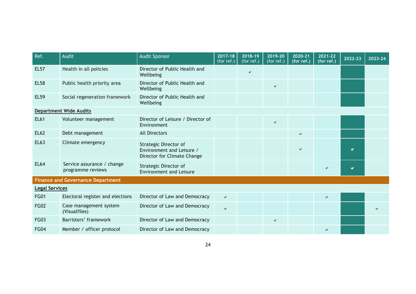| Ref.                  | Audit                                           | <b>Audit Sponsor</b>                                                              | 2017-18<br>(for ref.) | 2018-19<br>(for ref.) | 2019-20<br>(for ref.) | 2020-21<br>(for ref.) | 2021-22<br>(for ref.) | 2022-23 | 2023-24 |
|-----------------------|-------------------------------------------------|-----------------------------------------------------------------------------------|-----------------------|-----------------------|-----------------------|-----------------------|-----------------------|---------|---------|
| <b>EL57</b>           | Health in all policies                          | Director of Public Health and<br>Wellbeing                                        |                       | V                     |                       |                       |                       |         |         |
| <b>EL58</b>           | Public health priority area                     | Director of Public Health and<br>Wellbeing                                        |                       |                       | v.                    |                       |                       |         |         |
| <b>EL59</b>           | Social regeneration framework                   | Director of Public Health and<br>Wellbeing                                        |                       |                       |                       |                       |                       |         |         |
|                       | <b>Department Wide Audits</b>                   |                                                                                   |                       |                       |                       |                       |                       |         |         |
| <b>EL61</b>           | Volunteer management                            | Director of Leisure / Director of<br>Environment                                  |                       |                       | v                     |                       |                       |         |         |
| <b>EL62</b>           | Debt management                                 | <b>All Directors</b>                                                              |                       |                       |                       | $\checkmark$          |                       |         |         |
| <b>EL63</b>           | Climate emergency                               | Strategic Director of<br>Environment and Leisure /<br>Director for Climate Change |                       |                       |                       | ✓                     |                       |         |         |
| <b>EL64</b>           | Service assurance / change<br>programme reviews | Strategic Director of<br><b>Environment and Leisure</b>                           |                       |                       |                       |                       |                       | M       |         |
|                       | <b>Finance and Governance Department</b>        |                                                                                   |                       |                       |                       |                       |                       |         |         |
| <b>Legal Services</b> |                                                 |                                                                                   |                       |                       |                       |                       |                       |         |         |
| <b>FG01</b>           | Electoral register and elections                | Director of Law and Democracy                                                     | V                     |                       |                       |                       | V                     |         |         |
| <b>FG02</b>           | Case management system<br>(Visualfiles)         | Director of Law and Democracy                                                     | $\checkmark$          |                       |                       |                       |                       |         |         |
| <b>FG03</b>           | Barristers' framework                           | Director of Law and Democracy                                                     |                       |                       | ✓                     |                       |                       |         |         |
| <b>FG04</b>           | Member / officer protocol                       | Director of Law and Democracy                                                     |                       |                       |                       |                       |                       |         |         |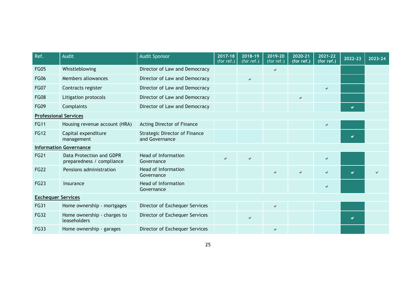| Ref.                         | Audit                                                 | <b>Audit Sponsor</b>                                   | 2017-18<br>(for ref.) | 2018-19<br>$(for$ ref.) | 2019-20<br>(for ref.) | 2020-21<br>(for ref.) | 2021-22<br>(for ref.) | 2022-23 | 2023-24 |
|------------------------------|-------------------------------------------------------|--------------------------------------------------------|-----------------------|-------------------------|-----------------------|-----------------------|-----------------------|---------|---------|
| <b>FG05</b>                  | Whistleblowing                                        | Director of Law and Democracy                          |                       |                         | v                     |                       |                       |         |         |
| <b>FG06</b>                  | Members allowances                                    | Director of Law and Democracy                          |                       | ✔                       |                       |                       |                       |         |         |
| <b>FG07</b>                  | Contracts register                                    | Director of Law and Democracy                          |                       |                         |                       |                       | $\checkmark$          |         |         |
| <b>FG08</b>                  | Litigation protocols                                  | Director of Law and Democracy                          |                       |                         |                       | V                     |                       |         |         |
| <b>FG09</b>                  | Complaints                                            | Director of Law and Democracy                          |                       |                         |                       |                       |                       | V       |         |
| <b>Professional Services</b> |                                                       |                                                        |                       |                         |                       |                       |                       |         |         |
| <b>FG11</b>                  | Housing revenue account (HRA)                         | Acting Director of Finance                             |                       |                         |                       |                       | $\checkmark$          |         |         |
| <b>FG12</b>                  | Capital expenditure<br>management                     | <b>Strategic Director of Finance</b><br>and Governance |                       |                         |                       |                       |                       | м       |         |
|                              | <b>Information Governance</b>                         |                                                        |                       |                         |                       |                       |                       |         |         |
| <b>FG21</b>                  | Data Protection and GDPR<br>preparedness / compliance | <b>Head of Information</b><br>Governance               | $\checkmark$          | ✔                       |                       |                       | ✓                     |         |         |
| <b>FG22</b>                  | Pensions administration                               | <b>Head of Information</b><br>Governance               |                       |                         | V                     | V                     | ✔                     | V       |         |
| <b>FG23</b>                  | Insurance                                             | <b>Head of Information</b><br>Governance               |                       |                         |                       |                       | $\checkmark$          |         |         |
| <b>Exchequer Services</b>    |                                                       |                                                        |                       |                         |                       |                       |                       |         |         |
| <b>FG31</b>                  | Home ownership - mortgages                            | Director of Exchequer Services                         |                       |                         | V                     |                       |                       |         |         |
| <b>FG32</b>                  | Home ownership - charges to<br>leaseholders           | Director of Exchequer Services                         |                       | ✔                       |                       |                       |                       | M       |         |
| <b>FG33</b>                  | Home ownership - garages                              | Director of Exchequer Services                         |                       |                         | $\checkmark$          |                       |                       |         |         |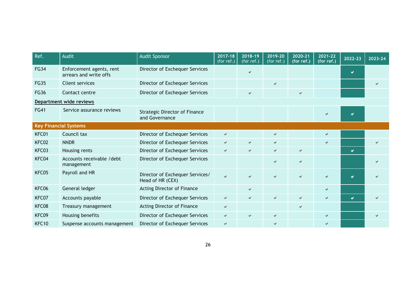| Ref.        | <b>Audit</b>                                       | <b>Audit Sponsor</b>                                   | 2017-18<br>(for ref.) | 2018-19<br>(for ref.) | 2019-20<br>(for ref.) | 2020-21<br>(for ref.) | 2021-22<br>(for ref.)    | 2022-23 | 2023-24 |
|-------------|----------------------------------------------------|--------------------------------------------------------|-----------------------|-----------------------|-----------------------|-----------------------|--------------------------|---------|---------|
| <b>FG34</b> | Enforcement agents, rent<br>arrears and write offs | Director of Exchequer Services                         |                       | ✔                     |                       |                       |                          | M       |         |
| <b>FG35</b> | <b>Client services</b>                             | Director of Exchequer Services                         |                       |                       | V                     |                       |                          |         |         |
| <b>FG36</b> | Contact centre                                     | Director of Exchequer Services                         |                       | ✔                     |                       | V                     |                          |         |         |
|             | Department wide reviews                            |                                                        |                       |                       |                       |                       |                          |         |         |
| <b>FG41</b> | Service assurance reviews                          | <b>Strategic Director of Finance</b><br>and Governance |                       |                       |                       |                       |                          |         |         |
|             | <b>Key Financial Systems</b>                       |                                                        |                       |                       |                       |                       |                          |         |         |
| KFC01       | Council tax                                        | Director of Exchequer Services                         | V                     |                       | v                     |                       | $\checkmark$             |         |         |
| KFC02       | <b>NNDR</b>                                        | Director of Exchequer Services                         | $\checkmark$          | V                     | v                     |                       | $\checkmark$             |         |         |
| KFC03       | Housing rents                                      | Director of Exchequer Services                         | $\checkmark$          | V                     | v                     | v                     |                          | ✔       |         |
| KFC04       | Accounts receivable /debt<br>management            | Director of Exchequer Services                         |                       |                       | v                     | V                     |                          |         |         |
| KFC05       | Payroll and HR                                     | Director of Exchequer Services/<br>Head of HR (CEX)    | $\checkmark$          | V                     | Ō.                    | V                     | $\overline{\mathcal{L}}$ | M       |         |
| KFC06       | General ledger                                     | Acting Director of Finance                             |                       | V                     |                       |                       | $\checkmark$             |         |         |
| KFC07       | Accounts payable                                   | Director of Exchequer Services                         | $\checkmark$          | V                     | v                     | V                     | $\checkmark$             | V       |         |
| KFC08       | Treasury management                                | Acting Director of Finance                             | $\checkmark$          |                       |                       | V                     |                          |         |         |
| KFC09       | Housing benefits                                   | Director of Exchequer Services                         | $\checkmark$          | V                     | V                     |                       | $\checkmark$             |         |         |
| KFC10       | Suspense accounts management                       | Director of Exchequer Services                         | ✔                     |                       |                       |                       |                          |         |         |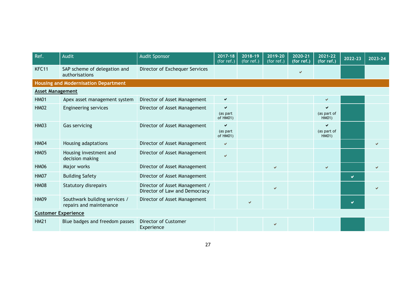| Ref.                    | <b>Audit</b>                                             | <b>Audit Sponsor</b>                                            | 2017-18<br>(for ref.)     | 2018-19<br>(for ref.) | 2019-20<br>(for ref.) | 2020-21<br>(for ref.) | 2021-22<br>(for ref.)     | 2022-23 | 2023-24 |
|-------------------------|----------------------------------------------------------|-----------------------------------------------------------------|---------------------------|-----------------------|-----------------------|-----------------------|---------------------------|---------|---------|
| KFC11                   | SAP scheme of delegation and<br>authorisations           | Director of Exchequer Services                                  |                           |                       |                       | ✔                     |                           |         |         |
|                         | <b>Housing and Modernisation Department</b>              |                                                                 |                           |                       |                       |                       |                           |         |         |
| <b>Asset Management</b> |                                                          |                                                                 |                           |                       |                       |                       |                           |         |         |
| <b>HM01</b>             | Apex asset management system                             | Director of Asset Management                                    | $\checkmark$              |                       |                       |                       | $\checkmark$              |         |         |
| <b>HM02</b>             | <b>Engineering services</b>                              | Director of Asset Management                                    | ✔<br>(as part<br>of HM01) |                       |                       |                       | (as part of<br>HM01)      |         |         |
| <b>HM03</b>             | Gas servicing                                            | Director of Asset Management                                    | ✔<br>(as part<br>of HM01) |                       |                       |                       | ✔<br>(as part of<br>HM01) |         |         |
| <b>HM04</b>             | Housing adaptations                                      | Director of Asset Management                                    | V                         |                       |                       |                       |                           |         |         |
| <b>HM05</b>             | Housing investment and<br>decision making                | Director of Asset Management                                    | $\checkmark$              |                       |                       |                       |                           |         |         |
| <b>HM06</b>             | Major works                                              | Director of Asset Management                                    |                           |                       | v                     |                       | $\checkmark$              |         |         |
| <b>HM07</b>             | <b>Building Safety</b>                                   | Director of Asset Management                                    |                           |                       |                       |                       |                           | ✔       |         |
| <b>HM08</b>             | <b>Statutory disrepairs</b>                              | Director of Asset Management /<br>Director of Law and Democracy |                           |                       | v                     |                       |                           |         |         |
| <b>HM09</b>             | Southwark building services /<br>repairs and maintenance | Director of Asset Management                                    |                           | V                     |                       |                       |                           | M       |         |
|                         | <b>Customer Experience</b>                               |                                                                 |                           |                       |                       |                       |                           |         |         |
| <b>HM21</b>             | Blue badges and freedom passes                           | Director of Customer<br>Experience                              |                           |                       | V                     |                       |                           |         |         |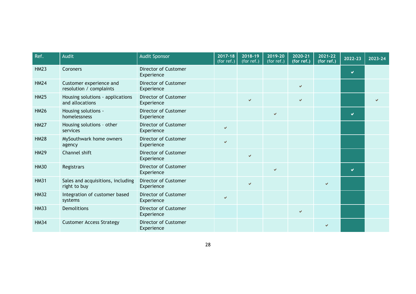| Ref.        | Audit                                               | <b>Audit Sponsor</b>                      | $2017 - 18$<br>(for ref.) | 2018-19<br>(for ref.) | 2019-20<br>(for ref.) | 2020-21<br>(for ref.) | 2021-22<br>(for ref.) | 2022-23 | 2023-24 |
|-------------|-----------------------------------------------------|-------------------------------------------|---------------------------|-----------------------|-----------------------|-----------------------|-----------------------|---------|---------|
| <b>HM23</b> | Coroners                                            | <b>Director of Customer</b><br>Experience |                           |                       |                       |                       |                       | Ø       |         |
| <b>HM24</b> | Customer experience and<br>resolution / complaints  | Director of Customer<br>Experience        |                           |                       |                       | v                     |                       |         |         |
| <b>HM25</b> | Housing solutions - applications<br>and allocations | <b>Director of Customer</b><br>Experience |                           | $\checkmark$          |                       | $\checkmark$          |                       |         |         |
| <b>HM26</b> | Housing solutions -<br>homelessness                 | <b>Director of Customer</b><br>Experience |                           |                       | $\checkmark$          |                       |                       | U       |         |
| <b>HM27</b> | Housing solutions - other<br>services               | Director of Customer<br>Experience        | $\checkmark$              |                       |                       |                       |                       |         |         |
| <b>HM28</b> | MySouthwark home owners<br>agency                   | Director of Customer<br>Experience        | $\checkmark$              |                       |                       |                       |                       |         |         |
| <b>HM29</b> | Channel shift                                       | <b>Director of Customer</b><br>Experience |                           | $\checkmark$          |                       |                       |                       |         |         |
| <b>HM30</b> | Registrars                                          | <b>Director of Customer</b><br>Experience |                           |                       | $\checkmark$          |                       |                       | M       |         |
| <b>HM31</b> | Sales and acquisitions, including<br>right to buy   | Director of Customer<br>Experience        |                           | V                     |                       |                       | $\checkmark$          |         |         |
| <b>HM32</b> | Integration of customer based<br>systems            | <b>Director of Customer</b><br>Experience | $\checkmark$              |                       |                       |                       |                       |         |         |
| <b>HM33</b> | <b>Demolitions</b>                                  | <b>Director of Customer</b><br>Experience |                           |                       |                       | v                     |                       |         |         |
| <b>HM34</b> | <b>Customer Access Strategy</b>                     | Director of Customer<br>Experience        |                           |                       |                       |                       |                       |         |         |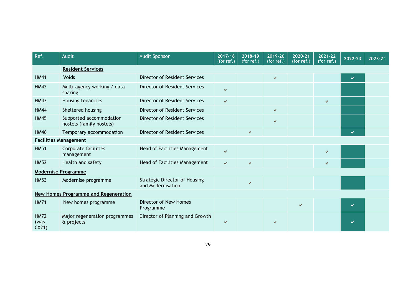| Ref.                         | Audit                                               | <b>Audit Sponsor</b>                                      | $2017 - 18$<br>(for $ref.$ ) | 2018-19<br>(for ref.) | 2019-20<br>(for ref.) | 2020-21<br>(for ref.) | 2021-22<br>(for ref.) | 2022-23 | 2023-24 |
|------------------------------|-----------------------------------------------------|-----------------------------------------------------------|------------------------------|-----------------------|-----------------------|-----------------------|-----------------------|---------|---------|
|                              | <b>Resident Services</b>                            |                                                           |                              |                       |                       |                       |                       |         |         |
| <b>HM41</b>                  | Voids                                               | Director of Resident Services                             |                              |                       | v                     |                       |                       | V       |         |
| <b>HM42</b>                  | Multi-agency working / data<br>sharing              | <b>Director of Resident Services</b>                      | $\checkmark$                 |                       |                       |                       |                       |         |         |
| <b>HM43</b>                  | Housing tenancies                                   | Director of Resident Services                             | $\checkmark$                 |                       |                       |                       | $\checkmark$          |         |         |
| <b>HM44</b>                  | Sheltered housing                                   | <b>Director of Resident Services</b>                      |                              |                       | ✓                     |                       |                       |         |         |
| <b>HM45</b>                  | Supported accommodation<br>hostels (family hostels) | <b>Director of Resident Services</b>                      |                              |                       | V                     |                       |                       |         |         |
| <b>HM46</b>                  | Temporary accommodation                             | <b>Director of Resident Services</b>                      |                              | ✔                     |                       |                       |                       | M       |         |
|                              | <b>Facilities Management</b>                        |                                                           |                              |                       |                       |                       |                       |         |         |
| <b>HM51</b>                  | Corporate facilities<br>management                  | Head of Facilities Management                             | $\checkmark$                 |                       |                       |                       | $\checkmark$          |         |         |
| <b>HM52</b>                  | Health and safety                                   | Head of Facilities Management                             | $\checkmark$                 | V                     |                       |                       | $\checkmark$          |         |         |
|                              | <b>Modernise Programme</b>                          |                                                           |                              |                       |                       |                       |                       |         |         |
| <b>HM53</b>                  | Modernise programme                                 | <b>Strategic Director of Housing</b><br>and Modernisation |                              | ✔                     |                       |                       |                       |         |         |
|                              | <b>New Homes Programme and Regeneration</b>         |                                                           |                              |                       |                       |                       |                       |         |         |
| <b>HM71</b>                  | New homes programme                                 | Director of New Homes<br>Programme                        |                              |                       |                       | ✓                     |                       | V       |         |
| <b>HM72</b><br>(was<br>CX21) | Major regeneration programmes<br>& projects         | Director of Planning and Growth                           | $\checkmark$                 |                       |                       |                       |                       | ✔       |         |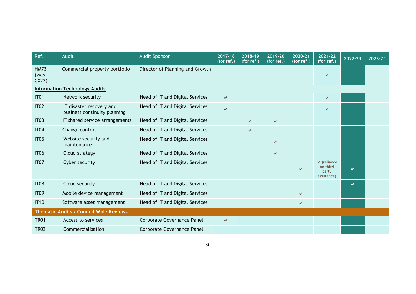| Ref.                                          | <b>Audit</b>                                             | <b>Audit Sponsor</b>            | $2017 - 18$<br>(for ref.) | 2018-19<br>$\sqrt{\frac{1}{1}}$ (for ref.) | 2019-20<br>(for ref.) | 2020-21<br>(for ref.) | 2021-22<br>(for ref.)                                | 2022-23               | 2023-24 |
|-----------------------------------------------|----------------------------------------------------------|---------------------------------|---------------------------|--------------------------------------------|-----------------------|-----------------------|------------------------------------------------------|-----------------------|---------|
| <b>HM73</b><br>(was<br>CX22                   | Commercial property portfolio                            | Director of Planning and Growth |                           |                                            |                       |                       |                                                      |                       |         |
|                                               | <b>Information Technology Audits</b>                     |                                 |                           |                                            |                       |                       |                                                      |                       |         |
| <b>IT01</b>                                   | Network security                                         | Head of IT and Digital Services | $\checkmark$              |                                            |                       |                       | V                                                    |                       |         |
| <b>IT02</b>                                   | IT disaster recovery and<br>business continuity planning | Head of IT and Digital Services | $\checkmark$              |                                            |                       |                       | ✔                                                    |                       |         |
| IT <sub>03</sub>                              | IT shared service arrangements                           | Head of IT and Digital Services |                           | V                                          | $\checkmark$          |                       |                                                      |                       |         |
| <b>IT04</b>                                   | Change control                                           | Head of IT and Digital Services |                           | ✔                                          |                       |                       |                                                      |                       |         |
| <b>IT05</b>                                   | Website security and<br>maintenance                      | Head of IT and Digital Services |                           |                                            | $\checkmark$          |                       |                                                      |                       |         |
| <b>IT06</b>                                   | Cloud strategy                                           | Head of IT and Digital Services |                           |                                            | V                     |                       |                                                      |                       |         |
| IT <sub>07</sub>                              | Cyber security                                           | Head of IT and Digital Services |                           |                                            |                       | ✔                     | $\vee$ (reliance)<br>on third<br>party<br>assurance) | $\blacktriangleright$ |         |
| <b>IT08</b>                                   | Cloud security                                           | Head of IT and Digital Services |                           |                                            |                       |                       |                                                      | $\mathbf{v}$          |         |
| <b>IT09</b>                                   | Mobile device management                                 | Head of IT and Digital Services |                           |                                            |                       | $\checkmark$          |                                                      |                       |         |
| <b>IT10</b>                                   | Software asset management                                | Head of IT and Digital Services |                           |                                            |                       | ✔                     |                                                      |                       |         |
| <b>Thematic Audits / Council Wide Reviews</b> |                                                          |                                 |                           |                                            |                       |                       |                                                      |                       |         |
| <b>TR01</b>                                   | Access to services                                       | Corporate Governance Panel      | $\checkmark$              |                                            |                       |                       |                                                      |                       |         |
| <b>TR02</b>                                   | Commercialisation                                        | Corporate Governance Panel      |                           |                                            |                       |                       |                                                      |                       |         |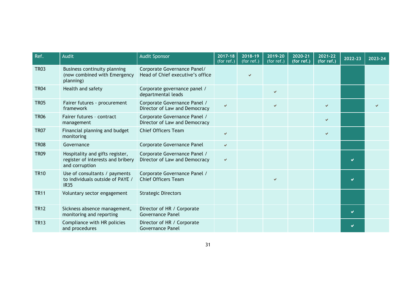| Ref.        | Audit                                                                                  | <b>Audit Sponsor</b>                                            | 2017-18<br>(for $ref.$ ) | 2018-19<br>(for ref.) | 2019-20<br>(for ref.) | 2020-21<br>(for ref.) | 2021-22<br>(for ref.) | 2022-23 | 2023-24 |
|-------------|----------------------------------------------------------------------------------------|-----------------------------------------------------------------|--------------------------|-----------------------|-----------------------|-----------------------|-----------------------|---------|---------|
| <b>TR03</b> | Business continuity planning<br>(now combined with Emergency<br>planning)              | Corporate Governance Panel/<br>Head of Chief executive's office |                          | V                     |                       |                       |                       |         |         |
| <b>TR04</b> | Health and safety                                                                      | Corporate governance panel /<br>departmental leads              |                          |                       | v                     |                       |                       |         |         |
| <b>TR05</b> | Fairer futures - procurement<br>framework                                              | Corporate Governance Panel /<br>Director of Law and Democracy   | $\checkmark$             |                       | $\checkmark$          |                       | V                     |         |         |
| <b>TR06</b> | Fairer futures - contract<br>management                                                | Corporate Governance Panel /<br>Director of Law and Democracy   |                          |                       |                       |                       |                       |         |         |
| <b>TR07</b> | Financial planning and budget<br>monitoring                                            | <b>Chief Officers Team</b>                                      | $\checkmark$             |                       |                       |                       |                       |         |         |
| <b>TR08</b> | Governance                                                                             | Corporate Governance Panel                                      | $\checkmark$             |                       |                       |                       |                       |         |         |
| <b>TR09</b> | Hospitality and gifts register,<br>register of interests and bribery<br>and corruption | Corporate Governance Panel /<br>Director of Law and Democracy   | V                        |                       |                       |                       |                       | Ø       |         |
| <b>TR10</b> | Use of consultants / payments<br>to individuals outside of PAYE /<br><b>IR35</b>       | Corporate Governance Panel /<br><b>Chief Officers Team</b>      |                          |                       | v                     |                       |                       |         |         |
| <b>TR11</b> | Voluntary sector engagement                                                            | <b>Strategic Directors</b>                                      |                          |                       |                       |                       |                       |         |         |
| <b>TR12</b> | Sickness absence management,<br>monitoring and reporting                               | Director of HR / Corporate<br><b>Governance Panel</b>           |                          |                       |                       |                       |                       | M       |         |
| <b>TR13</b> | Compliance with HR policies<br>and procedures                                          | Director of HR / Corporate<br>Governance Panel                  |                          |                       |                       |                       |                       |         |         |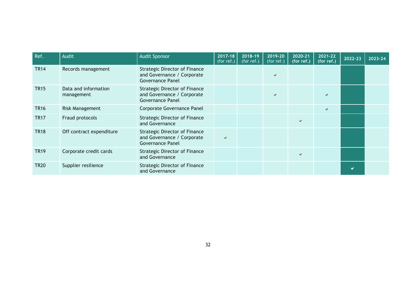| Ref.        | Audit                              | <b>Audit Sponsor</b>                                                                          | 2017-18<br>(for ref.) | 2018-19<br>(for ref.) | 2019-20<br>(for ref.) | 2020-21<br>(for ref.) | 2021-22<br>(for ref.) | $2022 - 23$ | 2023-24 |
|-------------|------------------------------------|-----------------------------------------------------------------------------------------------|-----------------------|-----------------------|-----------------------|-----------------------|-----------------------|-------------|---------|
| <b>TR14</b> | Records management                 | <b>Strategic Director of Finance</b><br>and Governance / Corporate<br><b>Governance Panel</b> |                       |                       | v.                    |                       |                       |             |         |
| <b>TR15</b> | Data and information<br>management | <b>Strategic Director of Finance</b><br>and Governance / Corporate<br><b>Governance Panel</b> |                       |                       | v.                    |                       |                       |             |         |
| <b>TR16</b> | Risk Management                    | Corporate Governance Panel                                                                    |                       |                       |                       |                       | ✔                     |             |         |
| <b>TR17</b> | Fraud protocols                    | <b>Strategic Director of Finance</b><br>and Governance                                        |                       |                       |                       | v                     |                       |             |         |
| <b>TR18</b> | Off contract expenditure           | <b>Strategic Director of Finance</b><br>and Governance / Corporate<br><b>Governance Panel</b> | $\checkmark$          |                       |                       |                       |                       |             |         |
| <b>TR19</b> | Corporate credit cards             | <b>Strategic Director of Finance</b><br>and Governance                                        |                       |                       |                       | V                     |                       |             |         |
| <b>TR20</b> | Supplier resilience                | <b>Strategic Director of Finance</b><br>and Governance                                        |                       |                       |                       |                       |                       |             |         |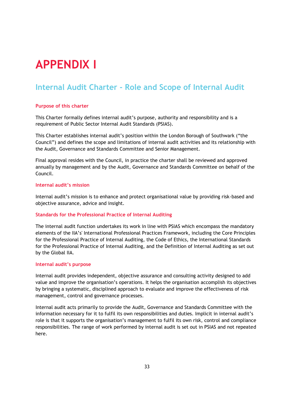# **APPENDIX I**

### **Internal Audit Charter - Role and Scope of Internal Audit**

#### **Purpose of this charter**

This Charter formally defines internal audit's purpose, authority and responsibility and is a requirement of Public Sector Internal Audit Standards (PSIAS).

This Charter establishes internal audit's position within the London Borough of Southwark ("the Council") and defines the scope and limitations of internal audit activities and its relationship with the Audit, Governance and Standards Committee and Senior Management.

Final approval resides with the Council, in practice the charter shall be reviewed and approved annually by management and by the Audit, Governance and Standards Committee on behalf of the Council.

#### **Internal audit's mission**

Internal audit's mission is to enhance and protect organisational value by providing risk-based and objective assurance, advice and insight.

#### **Standards for the Professional Practice of Internal Auditing**

The internal audit function undertakes its work in line with PSIAS which encompass the mandatory elements of the IIA's' International Professional Practices Framework, including the Core Principles for the Professional Practice of Internal Auditing, the Code of Ethics, the International Standards for the Professional Practice of Internal Auditing, and the Definition of Internal Auditing as set out by the Global IIA.

#### **Internal audit's purpose**

Internal audit provides independent, objective assurance and consulting activity designed to add value and improve the organisation's operations. It helps the organisation accomplish its objectives by bringing a systematic, disciplined approach to evaluate and improve the effectiveness of risk management, control and governance processes.

Internal audit acts primarily to provide the Audit, Governance and Standards Committee with the information necessary for it to fulfil its own responsibilities and duties. Implicit in internal audit's role is that it supports the organisation's management to fulfil its own risk, control and compliance responsibilities. The range of work performed by internal audit is set out in PSIAS and not repeated here.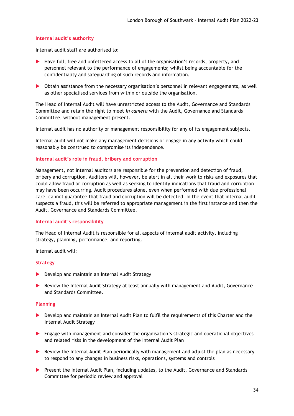#### **Internal audit's authority**

Internal audit staff are authorised to:

- Have full, free and unfettered access to all of the organisation's records, property, and personnel relevant to the performance of engagements; whilst being accountable for the confidentiality and safeguarding of such records and information.
- Obtain assistance from the necessary organisation's personnel in relevant engagements, as well as other specialised services from within or outside the organisation.

The Head of Internal Audit will have unrestricted access to the Audit, Governance and Standards Committee and retain the right to meet *in camera* with the Audit, Governance and Standards Committee, without management present.

Internal audit has no authority or management responsibility for any of its engagement subjects.

Internal audit will not make any management decisions or engage in any activity which could reasonably be construed to compromise its independence.

#### **Internal audit's role in fraud, bribery and corruption**

Management, not internal auditors are responsible for the prevention and detection of fraud, bribery and corruption. Auditors will, however, be alert in all their work to risks and exposures that could allow fraud or corruption as well as seeking to identify indications that fraud and corruption may have been occurring. Audit procedures alone, even when performed with due professional care, cannot guarantee that fraud and corruption will be detected. In the event that internal audit suspects a fraud, this will be referred to appropriate management in the first instance and then the Audit, Governance and Standards Committee.

#### **Internal audit's responsibility**

The Head of Internal Audit is responsible for all aspects of internal audit activity, including strategy, planning, performance, and reporting.

Internal audit will:

#### **Strategy**

- ▶ Develop and maintain an Internal Audit Strategy
- Review the Internal Audit Strategy at least annually with management and Audit, Governance and Standards Committee.

#### **Planning**

- Develop and maintain an Internal Audit Plan to fulfil the requirements of this Charter and the Internal Audit Strategy
- $\blacktriangleright$  Engage with management and consider the organisation's strategic and operational objectives and related risks in the development of the Internal Audit Plan
- Review the Internal Audit Plan periodically with management and adjust the plan as necessary to respond to any changes in business risks, operations, systems and controls
- **Present the Internal Audit Plan, including updates, to the Audit, Governance and Standards** Committee for periodic review and approval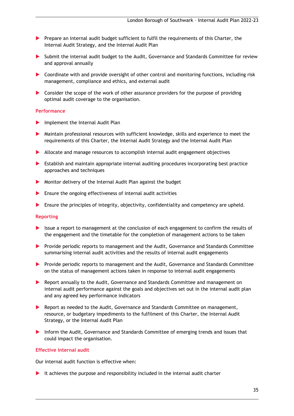- **Prepare an internal audit budget sufficient to fulfil the requirements of this Charter, the** Internal Audit Strategy, and the Internal Audit Plan
- Submit the internal audit budget to the Audit, Governance and Standards Committee for review and approval annually
- Coordinate with and provide oversight of other control and monitoring functions, including risk management, compliance and ethics, and external audit
- Consider the scope of the work of other assurance providers for the purpose of providing optimal audit coverage to the organisation.

#### **Performance**

- **Implement the Internal Audit Plan**
- Maintain professional resources with sufficient knowledge, skills and experience to meet the requirements of this Charter, the Internal Audit Strategy and the Internal Audit Plan
- Allocate and manage resources to accomplish internal audit engagement objectives
- Establish and maintain appropriate internal auditing procedures incorporating best practice approaches and techniques
- Monitor delivery of the Internal Audit Plan against the budget
- Ensure the ongoing effectiveness of internal audit activities
- Ensure the principles of integrity, objectivity, confidentiality and competency are upheld.

#### **Reporting**

- Issue a report to management at the conclusion of each engagement to confirm the results of the engagement and the timetable for the completion of management actions to be taken
- Provide periodic reports to management and the Audit, Governance and Standards Committee summarising internal audit activities and the results of internal audit engagements
- **Provide periodic reports to management and the Audit, Governance and Standards Committee** on the status of management actions taken in response to internal audit engagements
- Report annually to the Audit, Governance and Standards Committee and management on internal audit performance against the goals and objectives set out in the internal audit plan and any agreed key performance indicators
- **Report as needed to the Audit, Governance and Standards Committee on management,** resource, or budgetary impediments to the fulfilment of this Charter, the Internal Audit Strategy, or the Internal Audit Plan
- Inform the Audit, Governance and Standards Committee of emerging trends and issues that could impact the organisation.

#### **Effective internal audit**

Our internal audit function is effective when:

It achieves the purpose and responsibility included in the internal audit charter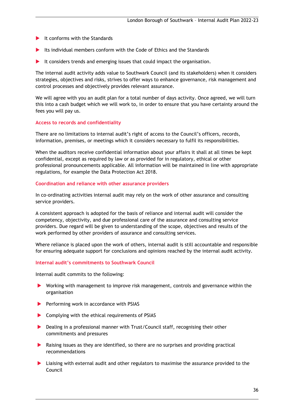- $\blacktriangleright$  It conforms with the Standards
- Its individual members conform with the Code of Ethics and the Standards
- It considers trends and emerging issues that could impact the organisation.

The internal audit activity adds value to Southwark Council (and its stakeholders) when it considers strategies, objectives and risks, strives to offer ways to enhance governance, risk management and control processes and objectively provides relevant assurance.

We will agree with you an audit plan for a total number of days activity. Once agreed, we will turn this into a cash budget which we will work to, in order to ensure that you have certainty around the fees you will pay us.

#### **Access to records and confidentiality**

There are no limitations to internal audit's right of access to the Council's officers, records, information, premises, or meetings which it considers necessary to fulfil its responsibilities.

When the auditors receive confidential information about your affairs it shall at all times be kept confidential, except as required by law or as provided for in regulatory, ethical or other professional pronouncements applicable. All information will be maintained in line with appropriate regulations, for example the Data Protection Act 2018.

#### **Coordination and reliance with other assurance providers**

In co-ordinating activities internal audit may rely on the work of other assurance and consulting service providers.

A consistent approach is adopted for the basis of reliance and internal audit will consider the competency, objectivity, and due professional care of the assurance and consulting service providers. Due regard will be given to understanding of the scope, objectives and results of the work performed by other providers of assurance and consulting services.

Where reliance is placed upon the work of others, internal audit is still accountable and responsible for ensuring adequate support for conclusions and opinions reached by the internal audit activity.

#### **Internal audit's commitments to Southwark Council**

Internal audit commits to the following:

- Working with management to improve risk management, controls and governance within the organisation
- Performing work in accordance with PSIAS
- ▶ Complying with the ethical requirements of PSIAS
- Dealing in a professional manner with Trust/Council staff, recognising their other commitments and pressures
- Raising issues as they are identified, so there are no surprises and providing practical recommendations
- Liaising with external audit and other regulators to maximise the assurance provided to the Council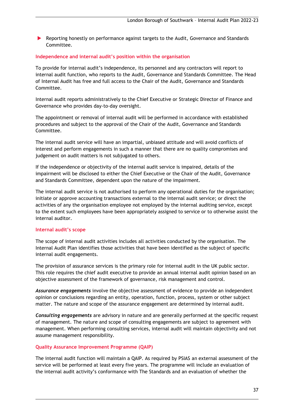Reporting honestly on performance against targets to the Audit, Governance and Standards Committee.

#### **Independence and internal audit's position within the organisation**

To provide for internal audit's independence, its personnel and any contractors will report to internal audit function, who reports to the Audit, Governance and Standards Committee. The Head of Internal Audit has free and full access to the Chair of the Audit, Governance and Standards Committee.

Internal audit reports administratively to the Chief Executive or Strategic Director of Finance and Governance who provides day-to-day oversight.

The appointment or removal of internal audit will be performed in accordance with established procedures and subject to the approval of the Chair of the Audit, Governance and Standards Committee.

The internal audit service will have an impartial, unbiased attitude and will avoid conflicts of interest and perform engagements in such a manner that there are no quality compromises and judgement on audit matters is not subjugated to others.

If the independence or objectivity of the internal audit service is impaired, details of the impairment will be disclosed to either the Chief Executive or the Chair of the Audit, Governance and Standards Committee, dependent upon the nature of the impairment.

The internal audit service is not authorised to perform any operational duties for the organisation; initiate or approve accounting transactions external to the internal audit service; or direct the activities of any the organisation employee not employed by the internal auditing service, except to the extent such employees have been appropriately assigned to service or to otherwise assist the internal auditor.

#### **Internal audit's scope**

The scope of internal audit activities includes all activities conducted by the organisation. The Internal Audit Plan identifies those activities that have been identified as the subject of specific internal audit engagements.

The provision of assurance services is the primary role for internal audit in the UK public sector. This role requires the chief audit executive to provide an annual internal audit opinion based on an objective assessment of the framework of governance, risk management and control.

*Assurance engagements* involve the objective assessment of evidence to provide an independent opinion or conclusions regarding an entity, operation, function, process, system or other subject matter. The nature and scope of the assurance engagement are determined by internal audit.

*Consulting engagements* are advisory in nature and are generally performed at the specific request of management. The nature and scope of consulting engagements are subject to agreement with management. When performing consulting services, internal audit will maintain objectivity and not assume management responsibility.

#### **Quality Assurance Improvement Programme (QAIP)**

The internal audit function will maintain a QAIP. As required by PSIAS an external assessment of the service will be performed at least every five years. The programme will include an evaluation of the internal audit activity's conformance with The Standards and an evaluation of whether the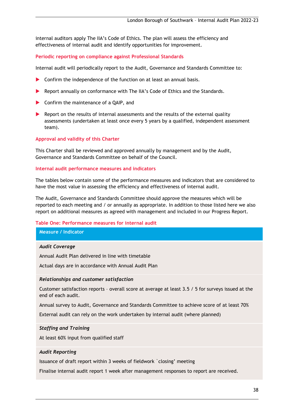internal auditors apply The IIA's Code of Ethics. The plan will assess the efficiency and effectiveness of internal audit and identify opportunities for improvement.

#### **Periodic reporting on compliance against Professional Standards**

Internal audit will periodically report to the Audit, Governance and Standards Committee to:

- ▶ Confirm the independence of the function on at least an annual basis.
- Report annually on conformance with The IIA's Code of Ethics and the Standards.
- ▶ Confirm the maintenance of a QAIP, and
- $\blacktriangleright$  Report on the results of internal assessments and the results of the external quality assessments (undertaken at least once every 5 years by a qualified, independent assessment team).

#### **Approval and validity of this Charter**

This Charter shall be reviewed and approved annually by management and by the Audit, Governance and Standards Committee on behalf of the Council.

#### **Internal audit performance measures and indicators**

The tables below contain some of the performance measures and indicators that are considered to have the most value in assessing the efficiency and effectiveness of internal audit.

The Audit, Governance and Standards Committee should approve the measures which will be reported to each meeting and / or annually as appropriate. In addition to those listed here we also report on additional measures as agreed with management and included in our Progress Report.

#### **Table One: Performance measures for internal audit**

**Measure / Indicator**

#### *Audit Coverage*

Annual Audit Plan delivered in line with timetable

Actual days are in accordance with Annual Audit Plan

#### *Relationships and customer satisfaction*

Customer satisfaction reports – overall score at average at least 3.5 / 5 for surveys issued at the end of each audit.

Annual survey to Audit, Governance and Standards Committee to achieve score of at least 70%

External audit can rely on the work undertaken by internal audit (where planned)

#### *Staffing and Training*

At least 60% input from qualified staff

#### *Audit Reporting*

Issuance of draft report within 3 weeks of fieldwork `closing' meeting

Finalise internal audit report 1 week after management responses to report are received.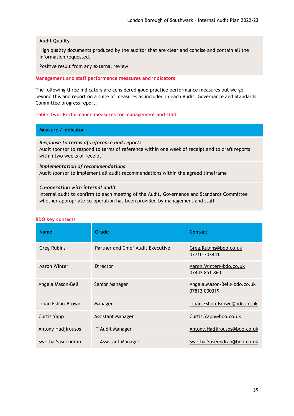#### **Audit Quality**

High quality documents produced by the auditor that are clear and concise and contain all the information requested.

Positive result from any external review

#### **Management and staff performance measures and indicators**

The following three indicators are considered good practice performance measures but we go beyond this and report on a suite of measures as included in each Audit, Governance and Standards Committee progress report.

#### **Table Two: Performance measures for management and staff**

#### **Measure / Indicator**

#### *Response to terms of reference and reports*

Audit sponsor to respond to terms of reference within one week of receipt and to draft reports within two weeks of receipt

#### *Implementation of recommendations* Audit sponsor to implement all audit recommendations within the agreed timeframe

#### *Co-operation with internal audit*

Internal audit to confirm to each meeting of the Audit, Governance and Standards Committee whether appropriate co-operation has been provided by management and staff

| <b>Name</b>        | Grade                             | Contact                                     |
|--------------------|-----------------------------------|---------------------------------------------|
| <b>Greg Rubins</b> | Partner and Chief Audit Executive | Greg.Rubins@bdo.co.uk<br>07710 703441       |
| Aaron Winter       | Director                          | Aaron. Winter@bdo.co.uk<br>07442 851 860    |
| Angela Mason-Bell  | Senior Manager                    | Angela.Mason-Bell@bdo.co.uk<br>07813 000319 |
| Lilian Eshun-Brown | Manager                           | Lilian.Eshun-Brown@bdo.co.uk                |
| <b>Curtis Yapp</b> | Assistant Manager                 | Curtis. Yapp@bdo.co.uk                      |
| Antony Hadjirousos | <b>IT Audit Manager</b>           | Antony.Hadjirousos@bdo.co.uk                |
| Swetha Saseendran  | <b>IT Assistant Manager</b>       | Swetha.Saseendran@bdo.co.uk                 |

#### **BDO key contacts**